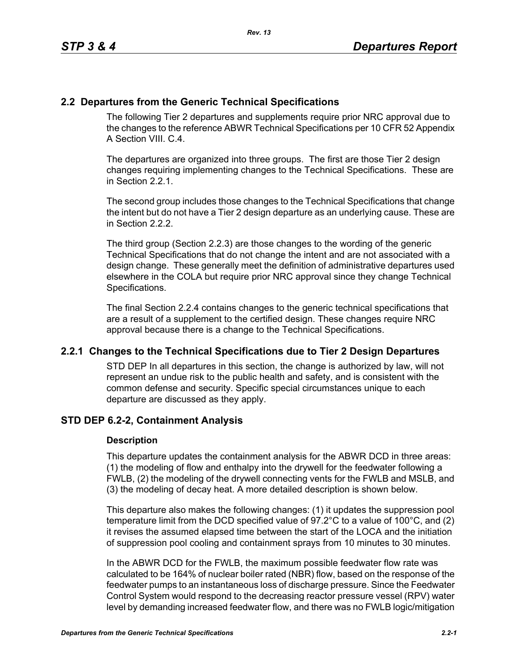# **2.2 Departures from the Generic Technical Specifications**

The following Tier 2 departures and supplements require prior NRC approval due to the changes to the reference ABWR Technical Specifications per 10 CFR 52 Appendix A Section VIII. C. 4.

The departures are organized into three groups. The first are those Tier 2 design changes requiring implementing changes to the Technical Specifications. These are in Section 2.2.1.

The second group includes those changes to the Technical Specifications that change the intent but do not have a Tier 2 design departure as an underlying cause. These are in Section 2.2.2.

The third group (Section 2.2.3) are those changes to the wording of the generic Technical Specifications that do not change the intent and are not associated with a design change. These generally meet the definition of administrative departures used elsewhere in the COLA but require prior NRC approval since they change Technical Specifications.

The final Section 2.2.4 contains changes to the generic technical specifications that are a result of a supplement to the certified design. These changes require NRC approval because there is a change to the Technical Specifications.

## **2.2.1 Changes to the Technical Specifications due to Tier 2 Design Departures**

STD DEP In all departures in this section, the change is authorized by law, will not represent an undue risk to the public health and safety, and is consistent with the common defense and security. Specific special circumstances unique to each departure are discussed as they apply.

## **STD DEP 6.2-2, Containment Analysis**

## **Description**

This departure updates the containment analysis for the ABWR DCD in three areas: (1) the modeling of flow and enthalpy into the drywell for the feedwater following a FWLB, (2) the modeling of the drywell connecting vents for the FWLB and MSLB, and (3) the modeling of decay heat. A more detailed description is shown below.

This departure also makes the following changes: (1) it updates the suppression pool temperature limit from the DCD specified value of 97.2°C to a value of 100°C, and (2) it revises the assumed elapsed time between the start of the LOCA and the initiation of suppression pool cooling and containment sprays from 10 minutes to 30 minutes.

In the ABWR DCD for the FWLB, the maximum possible feedwater flow rate was calculated to be 164% of nuclear boiler rated (NBR) flow, based on the response of the feedwater pumps to an instantaneous loss of discharge pressure. Since the Feedwater Control System would respond to the decreasing reactor pressure vessel (RPV) water level by demanding increased feedwater flow, and there was no FWLB logic/mitigation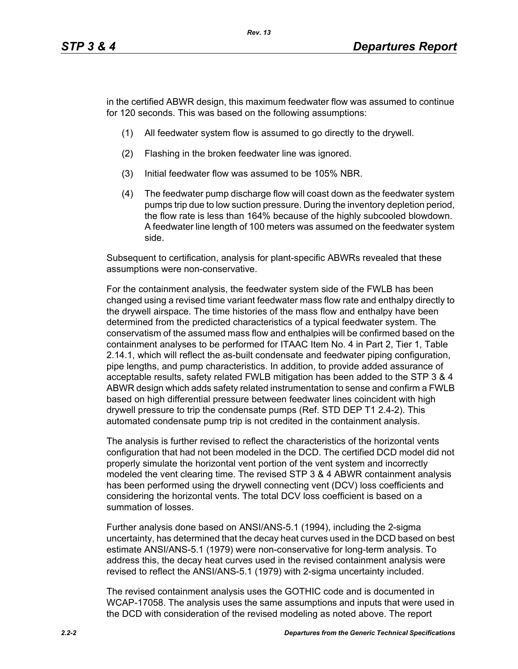in the certified ABWR design, this maximum feedwater flow was assumed to continue for 120 seconds. This was based on the following assumptions:

- (1) All feedwater system flow is assumed to go directly to the drywell.
- (2) Flashing in the broken feedwater line was ignored.
- (3) Initial feedwater flow was assumed to be 105% NBR.
- (4) The feedwater pump discharge flow will coast down as the feedwater system pumps trip due to low suction pressure. During the inventory depletion period, the flow rate is less than 164% because of the highly subcooled blowdown. A feedwater line length of 100 meters was assumed on the feedwater system side.

Subsequent to certification, analysis for plant-specific ABWRs revealed that these assumptions were non-conservative.

For the containment analysis, the feedwater system side of the FWLB has been changed using a revised time variant feedwater mass flow rate and enthalpy directly to the drywell airspace. The time histories of the mass flow and enthalpy have been determined from the predicted characteristics of a typical feedwater system. The conservatism of the assumed mass flow and enthalpies will be confirmed based on the containment analyses to be performed for ITAAC Item No. 4 in Part 2, Tier 1, Table 2.14.1, which will reflect the as-built condensate and feedwater piping configuration, pipe lengths, and pump characteristics. In addition, to provide added assurance of acceptable results, safety related FWLB mitigation has been added to the STP 3 & 4 ABWR design which adds safety related instrumentation to sense and confirm a FWLB based on high differential pressure between feedwater lines coincident with high drywell pressure to trip the condensate pumps (Ref. STD DEP T1 2.4-2). This automated condensate pump trip is not credited in the containment analysis.

The analysis is further revised to reflect the characteristics of the horizontal vents configuration that had not been modeled in the DCD. The certified DCD model did not properly simulate the horizontal vent portion of the vent system and incorrectly modeled the vent clearing time. The revised STP 3 & 4 ABWR containment analysis has been performed using the drywell connecting vent (DCV) loss coefficients and considering the horizontal vents. The total DCV loss coefficient is based on a summation of losses.

Further analysis done based on ANSI/ANS-5.1 (1994), including the 2-sigma uncertainty, has determined that the decay heat curves used in the DCD based on best estimate ANSI/ANS-5.1 (1979) were non-conservative for long-term analysis. To address this, the decay heat curves used in the revised containment analysis were revised to reflect the ANSI/ANS-5.1 (1979) with 2-sigma uncertainty included.

The revised containment analysis uses the GOTHIC code and is documented in WCAP-17058. The analysis uses the same assumptions and inputs that were used in the DCD with consideration of the revised modeling as noted above. The report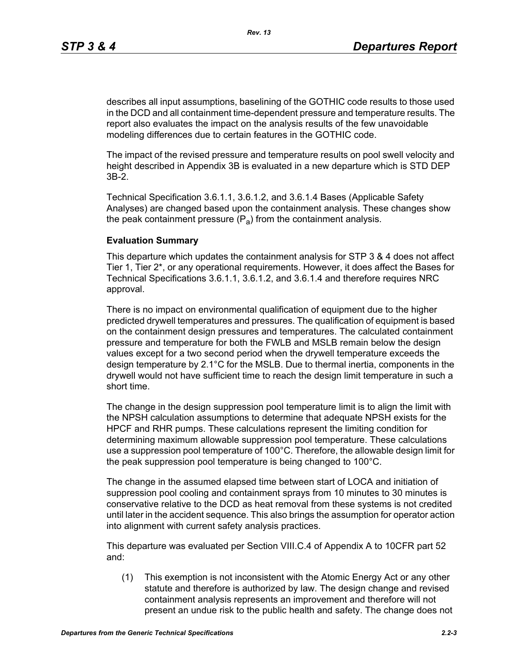describes all input assumptions, baselining of the GOTHIC code results to those used in the DCD and all containment time-dependent pressure and temperature results. The report also evaluates the impact on the analysis results of the few unavoidable modeling differences due to certain features in the GOTHIC code.

The impact of the revised pressure and temperature results on pool swell velocity and height described in Appendix 3B is evaluated in a new departure which is STD DEP 3B-2.

Technical Specification 3.6.1.1, 3.6.1.2, and 3.6.1.4 Bases (Applicable Safety Analyses) are changed based upon the containment analysis. These changes show the peak containment pressure  $(P_a)$  from the containment analysis.

## **Evaluation Summary**

This departure which updates the containment analysis for STP 3 & 4 does not affect Tier 1, Tier 2\*, or any operational requirements. However, it does affect the Bases for Technical Specifications 3.6.1.1, 3.6.1.2, and 3.6.1.4 and therefore requires NRC approval.

There is no impact on environmental qualification of equipment due to the higher predicted drywell temperatures and pressures. The qualification of equipment is based on the containment design pressures and temperatures. The calculated containment pressure and temperature for both the FWLB and MSLB remain below the design values except for a two second period when the drywell temperature exceeds the design temperature by 2.1°C for the MSLB. Due to thermal inertia, components in the drywell would not have sufficient time to reach the design limit temperature in such a short time.

The change in the design suppression pool temperature limit is to align the limit with the NPSH calculation assumptions to determine that adequate NPSH exists for the HPCF and RHR pumps. These calculations represent the limiting condition for determining maximum allowable suppression pool temperature. These calculations use a suppression pool temperature of 100°C. Therefore, the allowable design limit for the peak suppression pool temperature is being changed to 100°C.

The change in the assumed elapsed time between start of LOCA and initiation of suppression pool cooling and containment sprays from 10 minutes to 30 minutes is conservative relative to the DCD as heat removal from these systems is not credited until later in the accident sequence. This also brings the assumption for operator action into alignment with current safety analysis practices.

This departure was evaluated per Section VIII.C.4 of Appendix A to 10CFR part 52 and:

(1) This exemption is not inconsistent with the Atomic Energy Act or any other statute and therefore is authorized by law. The design change and revised containment analysis represents an improvement and therefore will not present an undue risk to the public health and safety. The change does not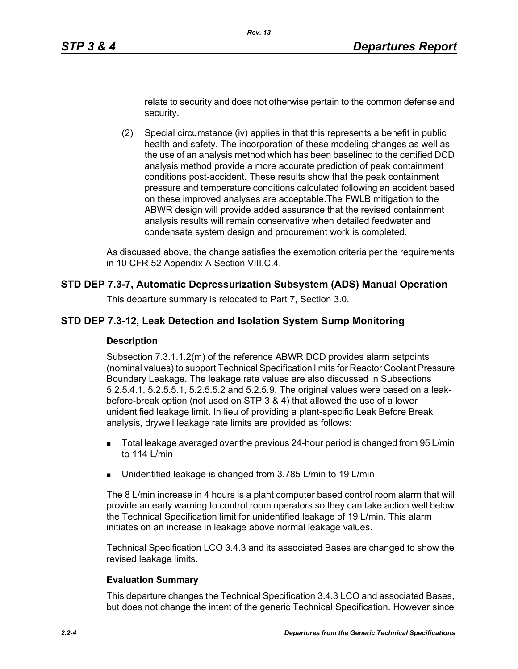relate to security and does not otherwise pertain to the common defense and security.

(2) Special circumstance (iv) applies in that this represents a benefit in public health and safety. The incorporation of these modeling changes as well as the use of an analysis method which has been baselined to the certified DCD analysis method provide a more accurate prediction of peak containment conditions post-accident. These results show that the peak containment pressure and temperature conditions calculated following an accident based on these improved analyses are acceptable.The FWLB mitigation to the ABWR design will provide added assurance that the revised containment analysis results will remain conservative when detailed feedwater and condensate system design and procurement work is completed.

As discussed above, the change satisfies the exemption criteria per the requirements in 10 CFR 52 Appendix A Section VIII.C.4.

## **STD DEP 7.3-7, Automatic Depressurization Subsystem (ADS) Manual Operation**

This departure summary is relocated to Part 7, Section 3.0.

#### **STD DEP 7.3-12, Leak Detection and Isolation System Sump Monitoring**

#### **Description**

Subsection 7.3.1.1.2(m) of the reference ABWR DCD provides alarm setpoints (nominal values) to support Technical Specification limits for Reactor Coolant Pressure Boundary Leakage. The leakage rate values are also discussed in Subsections 5.2.5.4.1, 5.2.5.5.1, 5.2.5.5.2 and 5.2.5.9. The original values were based on a leakbefore-break option (not used on STP 3 & 4) that allowed the use of a lower unidentified leakage limit. In lieu of providing a plant-specific Leak Before Break analysis, drywell leakage rate limits are provided as follows:

- Total leakage averaged over the previous 24-hour period is changed from 95 L/min to 114 L/min
- **Unidentified leakage is changed from 3.785 L/min to 19 L/min**

The 8 L/min increase in 4 hours is a plant computer based control room alarm that will provide an early warning to control room operators so they can take action well below the Technical Specification limit for unidentified leakage of 19 L/min. This alarm initiates on an increase in leakage above normal leakage values.

Technical Specification LCO 3.4.3 and its associated Bases are changed to show the revised leakage limits.

#### **Evaluation Summary**

This departure changes the Technical Specification 3.4.3 LCO and associated Bases, but does not change the intent of the generic Technical Specification. However since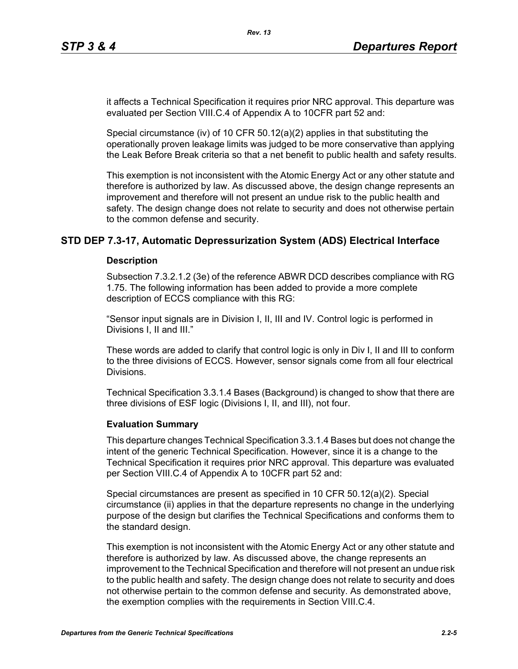it affects a Technical Specification it requires prior NRC approval. This departure was evaluated per Section VIII.C.4 of Appendix A to 10CFR part 52 and:

Special circumstance (iv) of 10 CFR  $50.12(a)(2)$  applies in that substituting the operationally proven leakage limits was judged to be more conservative than applying the Leak Before Break criteria so that a net benefit to public health and safety results.

This exemption is not inconsistent with the Atomic Energy Act or any other statute and therefore is authorized by law. As discussed above, the design change represents an improvement and therefore will not present an undue risk to the public health and safety. The design change does not relate to security and does not otherwise pertain to the common defense and security.

## **STD DEP 7.3-17, Automatic Depressurization System (ADS) Electrical Interface**

## **Description**

Subsection 7.3.2.1.2 (3e) of the reference ABWR DCD describes compliance with RG 1.75. The following information has been added to provide a more complete description of ECCS compliance with this RG:

"Sensor input signals are in Division I, II, III and IV. Control logic is performed in Divisions I, II and III."

These words are added to clarify that control logic is only in Div I, II and III to conform to the three divisions of ECCS. However, sensor signals come from all four electrical Divisions.

Technical Specification 3.3.1.4 Bases (Background) is changed to show that there are three divisions of ESF logic (Divisions I, II, and III), not four.

#### **Evaluation Summary**

This departure changes Technical Specification 3.3.1.4 Bases but does not change the intent of the generic Technical Specification. However, since it is a change to the Technical Specification it requires prior NRC approval. This departure was evaluated per Section VIII.C.4 of Appendix A to 10CFR part 52 and:

Special circumstances are present as specified in 10 CFR 50.12(a)(2). Special circumstance (ii) applies in that the departure represents no change in the underlying purpose of the design but clarifies the Technical Specifications and conforms them to the standard design.

This exemption is not inconsistent with the Atomic Energy Act or any other statute and therefore is authorized by law. As discussed above, the change represents an improvement to the Technical Specification and therefore will not present an undue risk to the public health and safety. The design change does not relate to security and does not otherwise pertain to the common defense and security. As demonstrated above, the exemption complies with the requirements in Section VIII.C.4.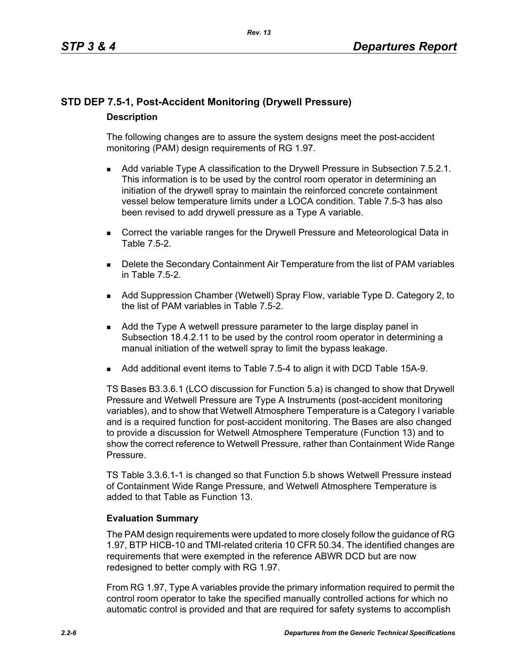# **STD DEP 7.5-1, Post-Accident Monitoring (Drywell Pressure) Description**

The following changes are to assure the system designs meet the post-accident monitoring (PAM) design requirements of RG 1.97.

- **Add variable Type A classification to the Drywell Pressure in Subsection 7.5.2.1.** This information is to be used by the control room operator in determining an initiation of the drywell spray to maintain the reinforced concrete containment vessel below temperature limits under a LOCA condition. Table 7.5-3 has also been revised to add drywell pressure as a Type A variable.
- **Correct the variable ranges for the Drywell Pressure and Meteorological Data in** Table 7.5-2.
- **Delete the Secondary Containment Air Temperature from the list of PAM variables** in Table 7.5-2.
- Add Suppression Chamber (Wetwell) Spray Flow, variable Type D. Category 2, to the list of PAM variables in Table 7.5-2.
- Add the Type A wetwell pressure parameter to the large display panel in Subsection 18.4.2.11 to be used by the control room operator in determining a manual initiation of the wetwell spray to limit the bypass leakage.
- Add additional event items to Table 7.5-4 to align it with DCD Table 15A-9.

TS Bases B3.3.6.1 (LCO discussion for Function 5.a) is changed to show that Drywell Pressure and Wetwell Pressure are Type A Instruments (post-accident monitoring variables), and to show that Wetwell Atmosphere Temperature is a Category I variable and is a required function for post-accident monitoring. The Bases are also changed to provide a discussion for Wetwell Atmosphere Temperature (Function 13) and to show the correct reference to Wetwell Pressure, rather than Containment Wide Range Pressure.

TS Table 3.3.6.1-1 is changed so that Function 5.b shows Wetwell Pressure instead of Containment Wide Range Pressure, and Wetwell Atmosphere Temperature is added to that Table as Function 13.

## **Evaluation Summary**

The PAM design requirements were updated to more closely follow the guidance of RG 1.97, BTP HICB-10 and TMI-related criteria 10 CFR 50.34. The identified changes are requirements that were exempted in the reference ABWR DCD but are now redesigned to better comply with RG 1.97.

From RG 1.97, Type A variables provide the primary information required to permit the control room operator to take the specified manually controlled actions for which no automatic control is provided and that are required for safety systems to accomplish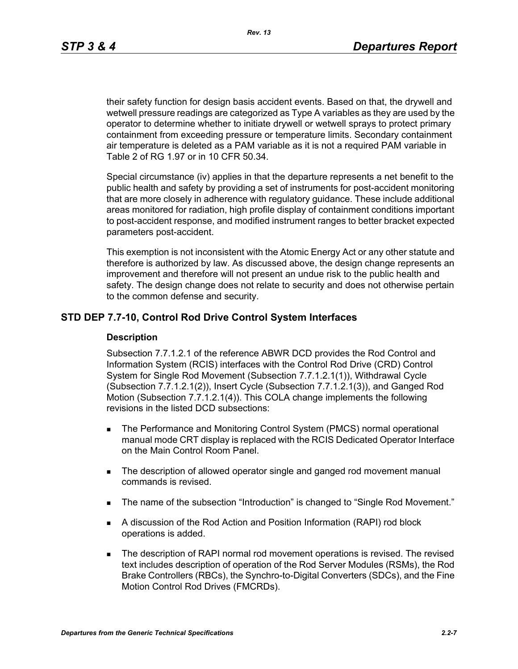*Rev. 13*

their safety function for design basis accident events. Based on that, the drywell and wetwell pressure readings are categorized as Type A variables as they are used by the operator to determine whether to initiate drywell or wetwell sprays to protect primary containment from exceeding pressure or temperature limits. Secondary containment air temperature is deleted as a PAM variable as it is not a required PAM variable in Table 2 of RG 1.97 or in 10 CFR 50.34.

Special circumstance (iv) applies in that the departure represents a net benefit to the public health and safety by providing a set of instruments for post-accident monitoring that are more closely in adherence with regulatory guidance. These include additional areas monitored for radiation, high profile display of containment conditions important to post-accident response, and modified instrument ranges to better bracket expected parameters post-accident.

This exemption is not inconsistent with the Atomic Energy Act or any other statute and therefore is authorized by law. As discussed above, the design change represents an improvement and therefore will not present an undue risk to the public health and safety. The design change does not relate to security and does not otherwise pertain to the common defense and security.

## **STD DEP 7.7-10, Control Rod Drive Control System Interfaces**

## **Description**

Subsection 7.7.1.2.1 of the reference ABWR DCD provides the Rod Control and Information System (RCIS) interfaces with the Control Rod Drive (CRD) Control System for Single Rod Movement (Subsection 7.7.1.2.1(1)), Withdrawal Cycle (Subsection 7.7.1.2.1(2)), Insert Cycle (Subsection 7.7.1.2.1(3)), and Ganged Rod Motion (Subsection 7.7.1.2.1(4)). This COLA change implements the following revisions in the listed DCD subsections:

- **The Performance and Monitoring Control System (PMCS) normal operational** manual mode CRT display is replaced with the RCIS Dedicated Operator Interface on the Main Control Room Panel.
- The description of allowed operator single and ganged rod movement manual commands is revised.
- The name of the subsection "Introduction" is changed to "Single Rod Movement."
- A discussion of the Rod Action and Position Information (RAPI) rod block operations is added.
- **The description of RAPI normal rod movement operations is revised. The revised** text includes description of operation of the Rod Server Modules (RSMs), the Rod Brake Controllers (RBCs), the Synchro-to-Digital Converters (SDCs), and the Fine Motion Control Rod Drives (FMCRDs).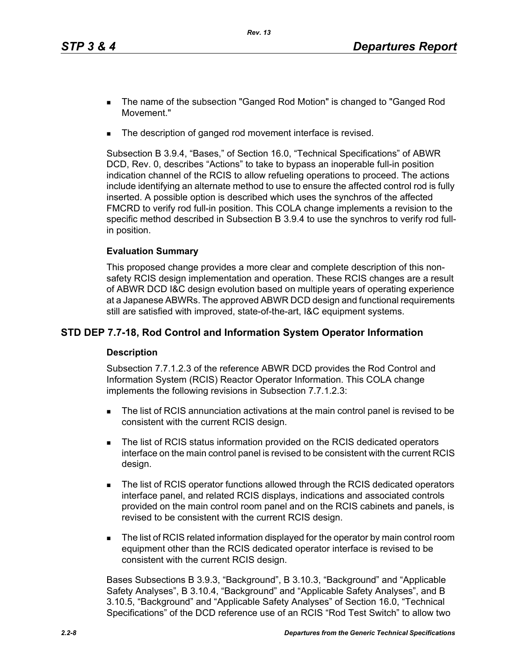- The name of the subsection "Ganged Rod Motion" is changed to "Ganged Rod Movement."
- The description of ganged rod movement interface is revised.

Subsection B 3.9.4, "Bases," of Section 16.0, "Technical Specifications" of ABWR DCD, Rev. 0, describes "Actions" to take to bypass an inoperable full-in position indication channel of the RCIS to allow refueling operations to proceed. The actions include identifying an alternate method to use to ensure the affected control rod is fully inserted. A possible option is described which uses the synchros of the affected FMCRD to verify rod full-in position. This COLA change implements a revision to the specific method described in Subsection B 3.9.4 to use the synchros to verify rod fullin position.

## **Evaluation Summary**

This proposed change provides a more clear and complete description of this nonsafety RCIS design implementation and operation. These RCIS changes are a result of ABWR DCD I&C design evolution based on multiple years of operating experience at a Japanese ABWRs. The approved ABWR DCD design and functional requirements still are satisfied with improved, state-of-the-art, I&C equipment systems.

## **STD DEP 7.7-18, Rod Control and Information System Operator Information**

## **Description**

Subsection 7.7.1.2.3 of the reference ABWR DCD provides the Rod Control and Information System (RCIS) Reactor Operator Information. This COLA change implements the following revisions in Subsection 7.7.1.2.3:

- The list of RCIS annunciation activations at the main control panel is revised to be consistent with the current RCIS design.
- The list of RCIS status information provided on the RCIS dedicated operators interface on the main control panel is revised to be consistent with the current RCIS design.
- The list of RCIS operator functions allowed through the RCIS dedicated operators interface panel, and related RCIS displays, indications and associated controls provided on the main control room panel and on the RCIS cabinets and panels, is revised to be consistent with the current RCIS design.
- The list of RCIS related information displayed for the operator by main control room equipment other than the RCIS dedicated operator interface is revised to be consistent with the current RCIS design.

Bases Subsections B 3.9.3, "Background", B 3.10.3, "Background" and "Applicable Safety Analyses", B 3.10.4, "Background" and "Applicable Safety Analyses", and B 3.10.5, "Background" and "Applicable Safety Analyses" of Section 16.0, "Technical Specifications" of the DCD reference use of an RCIS "Rod Test Switch" to allow two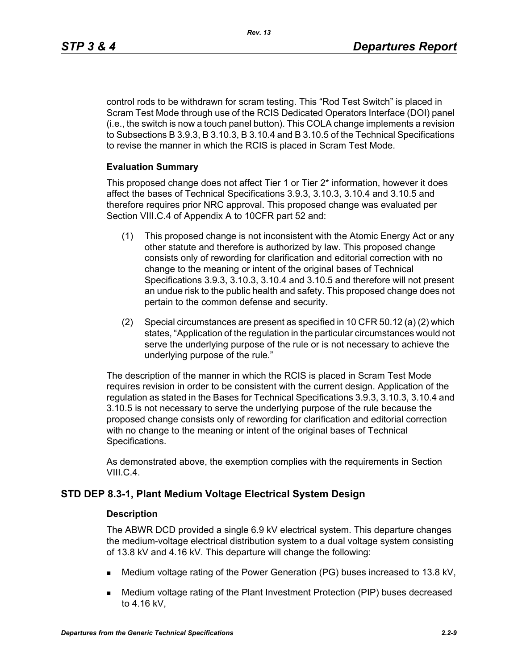control rods to be withdrawn for scram testing. This "Rod Test Switch" is placed in Scram Test Mode through use of the RCIS Dedicated Operators Interface (DOI) panel (i.e., the switch is now a touch panel button). This COLA change implements a revision to Subsections B 3.9.3, B 3.10.3, B 3.10.4 and B 3.10.5 of the Technical Specifications to revise the manner in which the RCIS is placed in Scram Test Mode.

## **Evaluation Summary**

This proposed change does not affect Tier 1 or Tier 2\* information, however it does affect the bases of Technical Specifications 3.9.3, 3.10.3, 3.10.4 and 3.10.5 and therefore requires prior NRC approval. This proposed change was evaluated per Section VIII.C.4 of Appendix A to 10CFR part 52 and:

- (1) This proposed change is not inconsistent with the Atomic Energy Act or any other statute and therefore is authorized by law. This proposed change consists only of rewording for clarification and editorial correction with no change to the meaning or intent of the original bases of Technical Specifications 3.9.3, 3.10.3, 3.10.4 and 3.10.5 and therefore will not present an undue risk to the public health and safety. This proposed change does not pertain to the common defense and security.
- (2) Special circumstances are present as specified in 10 CFR 50.12 (a) (2) which states, "Application of the regulation in the particular circumstances would not serve the underlying purpose of the rule or is not necessary to achieve the underlying purpose of the rule."

The description of the manner in which the RCIS is placed in Scram Test Mode requires revision in order to be consistent with the current design. Application of the regulation as stated in the Bases for Technical Specifications 3.9.3, 3.10.3, 3.10.4 and 3.10.5 is not necessary to serve the underlying purpose of the rule because the proposed change consists only of rewording for clarification and editorial correction with no change to the meaning or intent of the original bases of Technical Specifications.

As demonstrated above, the exemption complies with the requirements in Section VIII.C.4.

## **STD DEP 8.3-1, Plant Medium Voltage Electrical System Design**

#### **Description**

The ABWR DCD provided a single 6.9 kV electrical system. This departure changes the medium-voltage electrical distribution system to a dual voltage system consisting of 13.8 kV and 4.16 kV. This departure will change the following:

- Medium voltage rating of the Power Generation (PG) buses increased to 13.8 kV,
- Medium voltage rating of the Plant Investment Protection (PIP) buses decreased to 4.16 kV,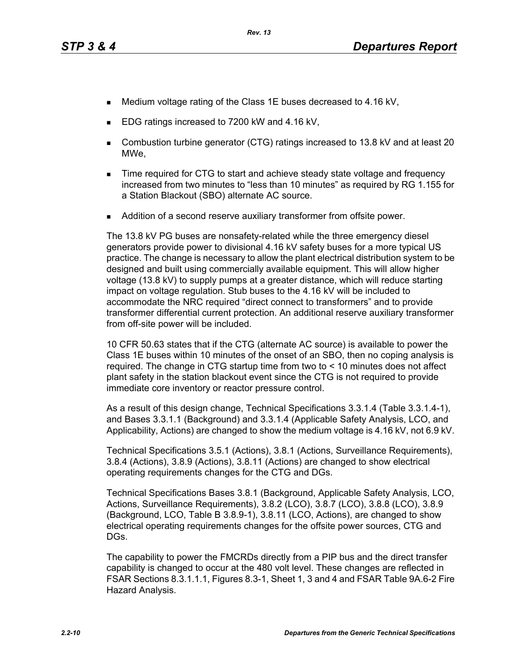- Medium voltage rating of the Class 1E buses decreased to 4.16 kV,
- EDG ratings increased to 7200 kW and 4.16 kV,
- Combustion turbine generator (CTG) ratings increased to 13.8 kV and at least 20 MWe,
- **Time required for CTG to start and achieve steady state voltage and frequency** increased from two minutes to "less than 10 minutes" as required by RG 1.155 for a Station Blackout (SBO) alternate AC source.
- Addition of a second reserve auxiliary transformer from offsite power.

The 13.8 kV PG buses are nonsafety-related while the three emergency diesel generators provide power to divisional 4.16 kV safety buses for a more typical US practice. The change is necessary to allow the plant electrical distribution system to be designed and built using commercially available equipment. This will allow higher voltage (13.8 kV) to supply pumps at a greater distance, which will reduce starting impact on voltage regulation. Stub buses to the 4.16 kV will be included to accommodate the NRC required "direct connect to transformers" and to provide transformer differential current protection. An additional reserve auxiliary transformer from off-site power will be included.

10 CFR 50.63 states that if the CTG (alternate AC source) is available to power the Class 1E buses within 10 minutes of the onset of an SBO, then no coping analysis is required. The change in CTG startup time from two to < 10 minutes does not affect plant safety in the station blackout event since the CTG is not required to provide immediate core inventory or reactor pressure control.

As a result of this design change, Technical Specifications 3.3.1.4 (Table 3.3.1.4-1), and Bases 3.3.1.1 (Background) and 3.3.1.4 (Applicable Safety Analysis, LCO, and Applicability, Actions) are changed to show the medium voltage is 4.16 kV, not 6.9 kV.

Technical Specifications 3.5.1 (Actions), 3.8.1 (Actions, Surveillance Requirements), 3.8.4 (Actions), 3.8.9 (Actions), 3.8.11 (Actions) are changed to show electrical operating requirements changes for the CTG and DGs.

Technical Specifications Bases 3.8.1 (Background, Applicable Safety Analysis, LCO, Actions, Surveillance Requirements), 3.8.2 (LCO), 3.8.7 (LCO), 3.8.8 (LCO), 3.8.9 (Background, LCO, Table B 3.8.9-1), 3.8.11 (LCO, Actions), are changed to show electrical operating requirements changes for the offsite power sources, CTG and DGs.

The capability to power the FMCRDs directly from a PIP bus and the direct transfer capability is changed to occur at the 480 volt level. These changes are reflected in FSAR Sections 8.3.1.1.1, Figures 8.3-1, Sheet 1, 3 and 4 and FSAR Table 9A.6-2 Fire Hazard Analysis.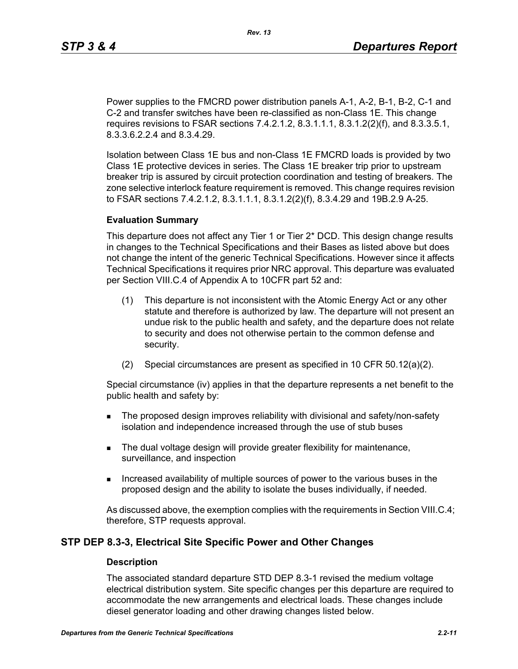Power supplies to the FMCRD power distribution panels A-1, A-2, B-1, B-2, C-1 and C-2 and transfer switches have been re-classified as non-Class 1E. This change requires revisions to FSAR sections 7.4.2.1.2, 8.3.1.1.1, 8.3.1.2(2)(f), and 8.3.3.5.1, 8.3.3.6.2.2.4 and 8.3.4.29.

Isolation between Class 1E bus and non-Class 1E FMCRD loads is provided by two Class 1E protective devices in series. The Class 1E breaker trip prior to upstream breaker trip is assured by circuit protection coordination and testing of breakers. The zone selective interlock feature requirement is removed. This change requires revision to FSAR sections 7.4.2.1.2, 8.3.1.1.1, 8.3.1.2(2)(f), 8.3.4.29 and 19B.2.9 A-25.

#### **Evaluation Summary**

This departure does not affect any Tier 1 or Tier 2\* DCD. This design change results in changes to the Technical Specifications and their Bases as listed above but does not change the intent of the generic Technical Specifications. However since it affects Technical Specifications it requires prior NRC approval. This departure was evaluated per Section VIII.C.4 of Appendix A to 10CFR part 52 and:

- (1) This departure is not inconsistent with the Atomic Energy Act or any other statute and therefore is authorized by law. The departure will not present an undue risk to the public health and safety, and the departure does not relate to security and does not otherwise pertain to the common defense and security.
- (2) Special circumstances are present as specified in 10 CFR 50.12(a)(2).

Special circumstance (iv) applies in that the departure represents a net benefit to the public health and safety by:

- **The proposed design improves reliability with divisional and safety/non-safety** isolation and independence increased through the use of stub buses
- The dual voltage design will provide greater flexibility for maintenance, surveillance, and inspection
- Increased availability of multiple sources of power to the various buses in the proposed design and the ability to isolate the buses individually, if needed.

As discussed above, the exemption complies with the requirements in Section VIII.C.4; therefore, STP requests approval.

## **STP DEP 8.3-3, Electrical Site Specific Power and Other Changes**

#### **Description**

The associated standard departure STD DEP 8.3-1 revised the medium voltage electrical distribution system. Site specific changes per this departure are required to accommodate the new arrangements and electrical loads. These changes include diesel generator loading and other drawing changes listed below.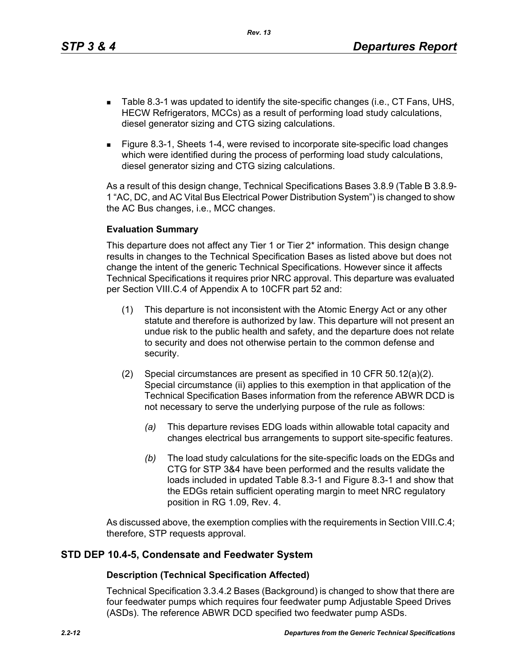*Rev. 13*

- Table 8.3-1 was updated to identify the site-specific changes (i.e., CT Fans, UHS, HECW Refrigerators, MCCs) as a result of performing load study calculations, diesel generator sizing and CTG sizing calculations.
- Figure 8.3-1, Sheets 1-4, were revised to incorporate site-specific load changes which were identified during the process of performing load study calculations, diesel generator sizing and CTG sizing calculations.

As a result of this design change, Technical Specifications Bases 3.8.9 (Table B 3.8.9- 1 "AC, DC, and AC Vital Bus Electrical Power Distribution System") is changed to show the AC Bus changes, i.e., MCC changes.

## **Evaluation Summary**

This departure does not affect any Tier 1 or Tier 2\* information. This design change results in changes to the Technical Specification Bases as listed above but does not change the intent of the generic Technical Specifications. However since it affects Technical Specifications it requires prior NRC approval. This departure was evaluated per Section VIII.C.4 of Appendix A to 10CFR part 52 and:

- (1) This departure is not inconsistent with the Atomic Energy Act or any other statute and therefore is authorized by law. This departure will not present an undue risk to the public health and safety, and the departure does not relate to security and does not otherwise pertain to the common defense and security.
- (2) Special circumstances are present as specified in 10 CFR 50.12(a)(2). Special circumstance (ii) applies to this exemption in that application of the Technical Specification Bases information from the reference ABWR DCD is not necessary to serve the underlying purpose of the rule as follows:
	- *(a)* This departure revises EDG loads within allowable total capacity and changes electrical bus arrangements to support site-specific features.
	- *(b)* The load study calculations for the site-specific loads on the EDGs and CTG for STP 3&4 have been performed and the results validate the loads included in updated Table 8.3-1 and Figure 8.3-1 and show that the EDGs retain sufficient operating margin to meet NRC regulatory position in RG 1.09, Rev. 4.

As discussed above, the exemption complies with the requirements in Section VIII.C.4; therefore, STP requests approval.

## **STD DEP 10.4-5, Condensate and Feedwater System**

## **Description (Technical Specification Affected)**

Technical Specification 3.3.4.2 Bases (Background) is changed to show that there are four feedwater pumps which requires four feedwater pump Adjustable Speed Drives (ASDs). The reference ABWR DCD specified two feedwater pump ASDs.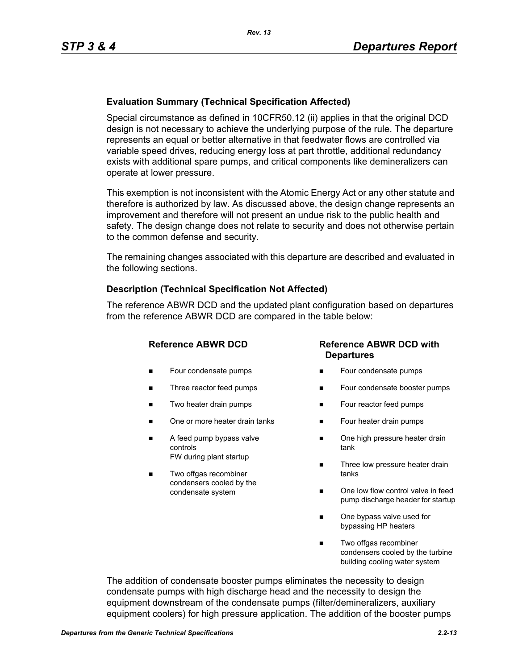## **Evaluation Summary (Technical Specification Affected)**

Special circumstance as defined in 10CFR50.12 (ii) applies in that the original DCD design is not necessary to achieve the underlying purpose of the rule. The departure represents an equal or better alternative in that feedwater flows are controlled via variable speed drives, reducing energy loss at part throttle, additional redundancy exists with additional spare pumps, and critical components like demineralizers can operate at lower pressure.

This exemption is not inconsistent with the Atomic Energy Act or any other statute and therefore is authorized by law. As discussed above, the design change represents an improvement and therefore will not present an undue risk to the public health and safety. The design change does not relate to security and does not otherwise pertain to the common defense and security.

The remaining changes associated with this departure are described and evaluated in the following sections.

#### **Description (Technical Specification Not Affected)**

The reference ABWR DCD and the updated plant configuration based on departures from the reference ABWR DCD are compared in the table below:

- **Four condensate pumps**
- Three reactor feed pumps
- Two heater drain pumps
- One or more heater drain tanks
- A feed pump bypass valve controls FW during plant startup
- Two offgas recombiner condensers cooled by the condensate system

## **Reference ABWR DCD Reference ABWR DCD with Departures**

- Four condensate pumps
- Four condensate booster pumps
- **Four reactor feed pumps**
- Four heater drain pumps
- One high pressure heater drain tank
- Three low pressure heater drain tanks
- One low flow control valve in feed pump discharge header for startup
- One bypass valve used for bypassing HP heaters
- Two offgas recombiner condensers cooled by the turbine building cooling water system

The addition of condensate booster pumps eliminates the necessity to design condensate pumps with high discharge head and the necessity to design the equipment downstream of the condensate pumps (filter/demineralizers, auxiliary equipment coolers) for high pressure application. The addition of the booster pumps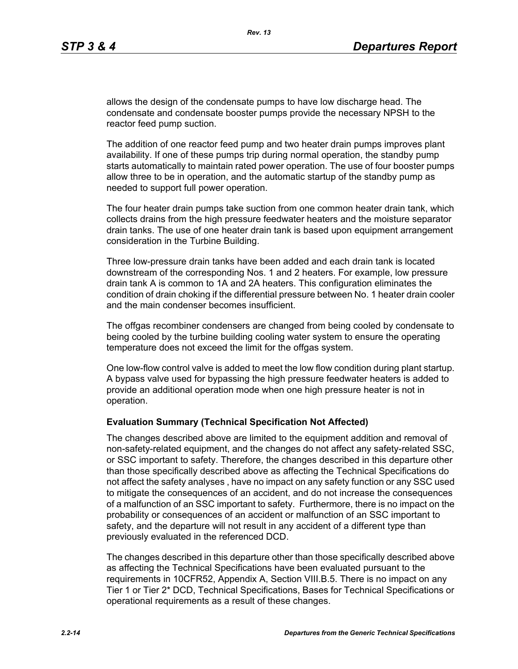allows the design of the condensate pumps to have low discharge head. The condensate and condensate booster pumps provide the necessary NPSH to the reactor feed pump suction.

The addition of one reactor feed pump and two heater drain pumps improves plant availability. If one of these pumps trip during normal operation, the standby pump starts automatically to maintain rated power operation. The use of four booster pumps allow three to be in operation, and the automatic startup of the standby pump as needed to support full power operation.

The four heater drain pumps take suction from one common heater drain tank, which collects drains from the high pressure feedwater heaters and the moisture separator drain tanks. The use of one heater drain tank is based upon equipment arrangement consideration in the Turbine Building.

Three low-pressure drain tanks have been added and each drain tank is located downstream of the corresponding Nos. 1 and 2 heaters. For example, low pressure drain tank A is common to 1A and 2A heaters. This configuration eliminates the condition of drain choking if the differential pressure between No. 1 heater drain cooler and the main condenser becomes insufficient.

The offgas recombiner condensers are changed from being cooled by condensate to being cooled by the turbine building cooling water system to ensure the operating temperature does not exceed the limit for the offgas system.

One low-flow control valve is added to meet the low flow condition during plant startup. A bypass valve used for bypassing the high pressure feedwater heaters is added to provide an additional operation mode when one high pressure heater is not in operation.

#### **Evaluation Summary (Technical Specification Not Affected)**

The changes described above are limited to the equipment addition and removal of non-safety-related equipment, and the changes do not affect any safety-related SSC, or SSC important to safety. Therefore, the changes described in this departure other than those specifically described above as affecting the Technical Specifications do not affect the safety analyses , have no impact on any safety function or any SSC used to mitigate the consequences of an accident, and do not increase the consequences of a malfunction of an SSC important to safety. Furthermore, there is no impact on the probability or consequences of an accident or malfunction of an SSC important to safety, and the departure will not result in any accident of a different type than previously evaluated in the referenced DCD.

The changes described in this departure other than those specifically described above as affecting the Technical Specifications have been evaluated pursuant to the requirements in 10CFR52, Appendix A, Section VIII.B.5. There is no impact on any Tier 1 or Tier 2\* DCD, Technical Specifications, Bases for Technical Specifications or operational requirements as a result of these changes.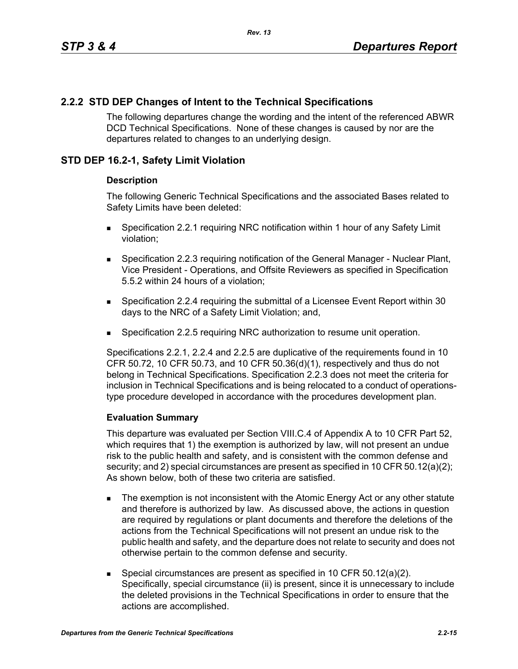# **2.2.2 STD DEP Changes of Intent to the Technical Specifications**

The following departures change the wording and the intent of the referenced ABWR DCD Technical Specifications. None of these changes is caused by nor are the departures related to changes to an underlying design.

# **STD DEP 16.2-1, Safety Limit Violation**

## **Description**

The following Generic Technical Specifications and the associated Bases related to Safety Limits have been deleted:

- Specification 2.2.1 requiring NRC notification within 1 hour of any Safety Limit violation;
- **Specification 2.2.3 requiring notification of the General Manager Nuclear Plant,** Vice President - Operations, and Offsite Reviewers as specified in Specification 5.5.2 within 24 hours of a violation;
- Specification 2.2.4 requiring the submittal of a Licensee Event Report within 30 days to the NRC of a Safety Limit Violation; and,
- Specification 2.2.5 requiring NRC authorization to resume unit operation.

Specifications 2.2.1, 2.2.4 and 2.2.5 are duplicative of the requirements found in 10 CFR 50.72, 10 CFR 50.73, and 10 CFR 50.36(d)(1), respectively and thus do not belong in Technical Specifications. Specification 2.2.3 does not meet the criteria for inclusion in Technical Specifications and is being relocated to a conduct of operationstype procedure developed in accordance with the procedures development plan.

## **Evaluation Summary**

This departure was evaluated per Section VIII.C.4 of Appendix A to 10 CFR Part 52, which requires that 1) the exemption is authorized by law, will not present an undue risk to the public health and safety, and is consistent with the common defense and security; and 2) special circumstances are present as specified in 10 CFR 50.12(a)(2); As shown below, both of these two criteria are satisfied.

- The exemption is not inconsistent with the Atomic Energy Act or any other statute and therefore is authorized by law. As discussed above, the actions in question are required by regulations or plant documents and therefore the deletions of the actions from the Technical Specifications will not present an undue risk to the public health and safety, and the departure does not relate to security and does not otherwise pertain to the common defense and security.
- Special circumstances are present as specified in 10 CFR 50.12(a)(2). Specifically, special circumstance (ii) is present, since it is unnecessary to include the deleted provisions in the Technical Specifications in order to ensure that the actions are accomplished.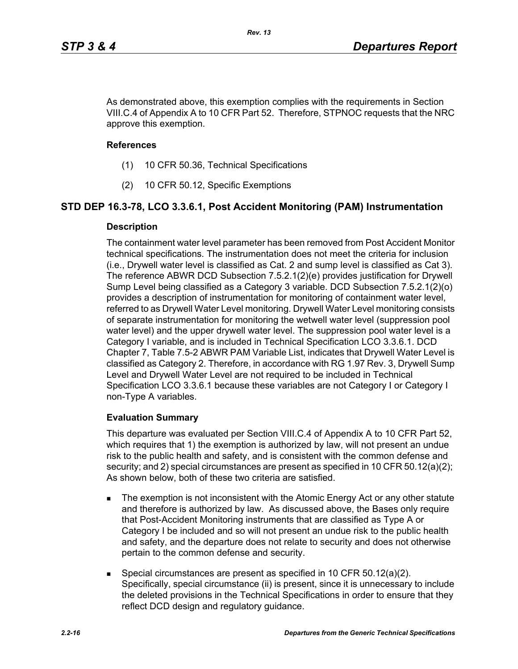As demonstrated above, this exemption complies with the requirements in Section VIII.C.4 of Appendix A to 10 CFR Part 52. Therefore, STPNOC requests that the NRC approve this exemption.

#### **References**

- (1) 10 CFR 50.36, Technical Specifications
- (2) 10 CFR 50.12, Specific Exemptions

## **STD DEP 16.3-78, LCO 3.3.6.1, Post Accident Monitoring (PAM) Instrumentation**

#### **Description**

The containment water level parameter has been removed from Post Accident Monitor technical specifications. The instrumentation does not meet the criteria for inclusion (i.e., Drywell water level is classified as Cat. 2 and sump level is classified as Cat 3). The reference ABWR DCD Subsection 7.5.2.1(2)(e) provides justification for Drywell Sump Level being classified as a Category 3 variable. DCD Subsection 7.5.2.1(2)(o) provides a description of instrumentation for monitoring of containment water level, referred to as Drywell Water Level monitoring. Drywell Water Level monitoring consists of separate instrumentation for monitoring the wetwell water level (suppression pool water level) and the upper drywell water level. The suppression pool water level is a Category I variable, and is included in Technical Specification LCO 3.3.6.1. DCD Chapter 7, Table 7.5-2 ABWR PAM Variable List, indicates that Drywell Water Level is classified as Category 2. Therefore, in accordance with RG 1.97 Rev. 3, Drywell Sump Level and Drywell Water Level are not required to be included in Technical Specification LCO 3.3.6.1 because these variables are not Category I or Category I non-Type A variables.

## **Evaluation Summary**

This departure was evaluated per Section VIII.C.4 of Appendix A to 10 CFR Part 52, which requires that 1) the exemption is authorized by law, will not present an undue risk to the public health and safety, and is consistent with the common defense and security; and 2) special circumstances are present as specified in 10 CFR 50.12(a)(2); As shown below, both of these two criteria are satisfied.

- The exemption is not inconsistent with the Atomic Energy Act or any other statute and therefore is authorized by law. As discussed above, the Bases only require that Post-Accident Monitoring instruments that are classified as Type A or Category I be included and so will not present an undue risk to the public health and safety, and the departure does not relate to security and does not otherwise pertain to the common defense and security.
- Special circumstances are present as specified in 10 CFR 50.12(a)(2). Specifically, special circumstance (ii) is present, since it is unnecessary to include the deleted provisions in the Technical Specifications in order to ensure that they reflect DCD design and regulatory guidance.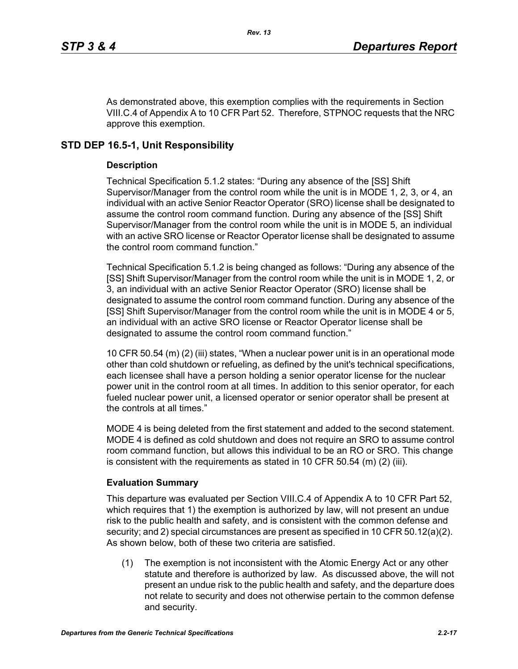As demonstrated above, this exemption complies with the requirements in Section VIII.C.4 of Appendix A to 10 CFR Part 52. Therefore, STPNOC requests that the NRC approve this exemption.

# **STD DEP 16.5-1, Unit Responsibility**

## **Description**

Technical Specification 5.1.2 states: "During any absence of the [SS] Shift Supervisor/Manager from the control room while the unit is in MODE 1, 2, 3, or 4, an individual with an active Senior Reactor Operator (SRO) license shall be designated to assume the control room command function. During any absence of the [SS] Shift Supervisor/Manager from the control room while the unit is in MODE 5, an individual with an active SRO license or Reactor Operator license shall be designated to assume the control room command function."

Technical Specification 5.1.2 is being changed as follows: "During any absence of the [SS] Shift Supervisor/Manager from the control room while the unit is in MODE 1, 2, or 3, an individual with an active Senior Reactor Operator (SRO) license shall be designated to assume the control room command function. During any absence of the [SS] Shift Supervisor/Manager from the control room while the unit is in MODE 4 or 5, an individual with an active SRO license or Reactor Operator license shall be designated to assume the control room command function."

10 CFR 50.54 (m) (2) (iii) states, "When a nuclear power unit is in an operational mode other than cold shutdown or refueling, as defined by the unit's technical specifications, each licensee shall have a person holding a senior operator license for the nuclear power unit in the control room at all times. In addition to this senior operator, for each fueled nuclear power unit, a licensed operator or senior operator shall be present at the controls at all times."

MODE 4 is being deleted from the first statement and added to the second statement. MODE 4 is defined as cold shutdown and does not require an SRO to assume control room command function, but allows this individual to be an RO or SRO. This change is consistent with the requirements as stated in 10 CFR 50.54  $(m)$  (2) (iii).

## **Evaluation Summary**

This departure was evaluated per Section VIII.C.4 of Appendix A to 10 CFR Part 52, which requires that 1) the exemption is authorized by law, will not present an undue risk to the public health and safety, and is consistent with the common defense and security; and 2) special circumstances are present as specified in 10 CFR 50.12(a)(2). As shown below, both of these two criteria are satisfied.

(1) The exemption is not inconsistent with the Atomic Energy Act or any other statute and therefore is authorized by law. As discussed above, the will not present an undue risk to the public health and safety, and the departure does not relate to security and does not otherwise pertain to the common defense and security.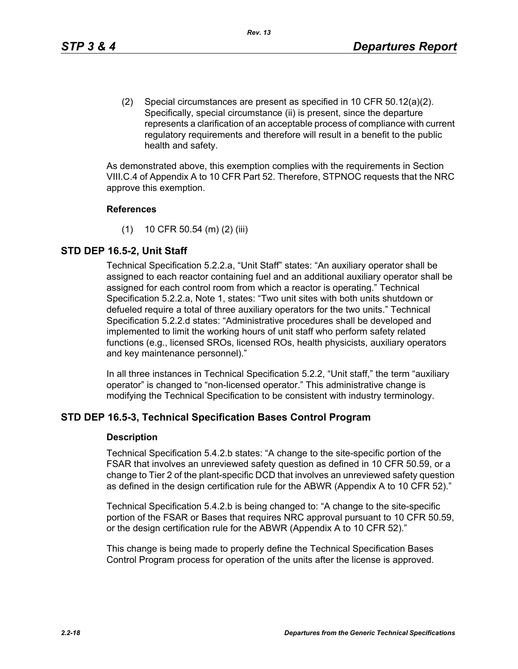(2) Special circumstances are present as specified in 10 CFR 50.12(a)(2). Specifically, special circumstance (ii) is present, since the departure represents a clarification of an acceptable process of compliance with current regulatory requirements and therefore will result in a benefit to the public health and safety.

As demonstrated above, this exemption complies with the requirements in Section VIII.C.4 of Appendix A to 10 CFR Part 52. Therefore, STPNOC requests that the NRC approve this exemption.

#### **References**

(1) 10 CFR 50.54 (m) (2) (iii)

## **STD DEP 16.5-2, Unit Staff**

Technical Specification 5.2.2.a, "Unit Staff" states: "An auxiliary operator shall be assigned to each reactor containing fuel and an additional auxiliary operator shall be assigned for each control room from which a reactor is operating." Technical Specification 5.2.2.a, Note 1, states: "Two unit sites with both units shutdown or defueled require a total of three auxiliary operators for the two units." Technical Specification 5.2.2.d states: "Administrative procedures shall be developed and implemented to limit the working hours of unit staff who perform safety related functions (e.g., licensed SROs, licensed ROs, health physicists, auxiliary operators and key maintenance personnel)."

In all three instances in Technical Specification 5.2.2, "Unit staff," the term "auxiliary operator" is changed to "non-licensed operator." This administrative change is modifying the Technical Specification to be consistent with industry terminology.

## **STD DEP 16.5-3, Technical Specification Bases Control Program**

#### **Description**

Technical Specification 5.4.2.b states: "A change to the site-specific portion of the FSAR that involves an unreviewed safety question as defined in 10 CFR 50.59, or a change to Tier 2 of the plant-specific DCD that involves an unreviewed safety question as defined in the design certification rule for the ABWR (Appendix A to 10 CFR 52)."

Technical Specification 5.4.2.b is being changed to: "A change to the site-specific portion of the FSAR or Bases that requires NRC approval pursuant to 10 CFR 50.59, or the design certification rule for the ABWR (Appendix A to 10 CFR 52)."

This change is being made to properly define the Technical Specification Bases Control Program process for operation of the units after the license is approved.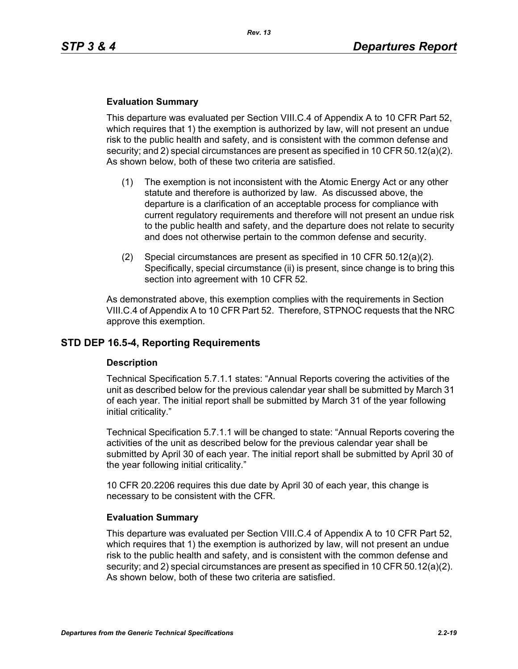#### **Evaluation Summary**

This departure was evaluated per Section VIII.C.4 of Appendix A to 10 CFR Part 52, which requires that 1) the exemption is authorized by law, will not present an undue risk to the public health and safety, and is consistent with the common defense and security; and 2) special circumstances are present as specified in 10 CFR 50.12(a)(2). As shown below, both of these two criteria are satisfied.

- (1) The exemption is not inconsistent with the Atomic Energy Act or any other statute and therefore is authorized by law. As discussed above, the departure is a clarification of an acceptable process for compliance with current regulatory requirements and therefore will not present an undue risk to the public health and safety, and the departure does not relate to security and does not otherwise pertain to the common defense and security.
- (2) Special circumstances are present as specified in 10 CFR 50.12(a)(2). Specifically, special circumstance (ii) is present, since change is to bring this section into agreement with 10 CFR 52.

As demonstrated above, this exemption complies with the requirements in Section VIII.C.4 of Appendix A to 10 CFR Part 52. Therefore, STPNOC requests that the NRC approve this exemption.

## **STD DEP 16.5-4, Reporting Requirements**

#### **Description**

Technical Specification 5.7.1.1 states: "Annual Reports covering the activities of the unit as described below for the previous calendar year shall be submitted by March 31 of each year. The initial report shall be submitted by March 31 of the year following initial criticality."

Technical Specification 5.7.1.1 will be changed to state: "Annual Reports covering the activities of the unit as described below for the previous calendar year shall be submitted by April 30 of each year. The initial report shall be submitted by April 30 of the year following initial criticality."

10 CFR 20.2206 requires this due date by April 30 of each year, this change is necessary to be consistent with the CFR.

#### **Evaluation Summary**

This departure was evaluated per Section VIII.C.4 of Appendix A to 10 CFR Part 52, which requires that 1) the exemption is authorized by law, will not present an undue risk to the public health and safety, and is consistent with the common defense and security; and 2) special circumstances are present as specified in 10 CFR 50.12(a)(2). As shown below, both of these two criteria are satisfied.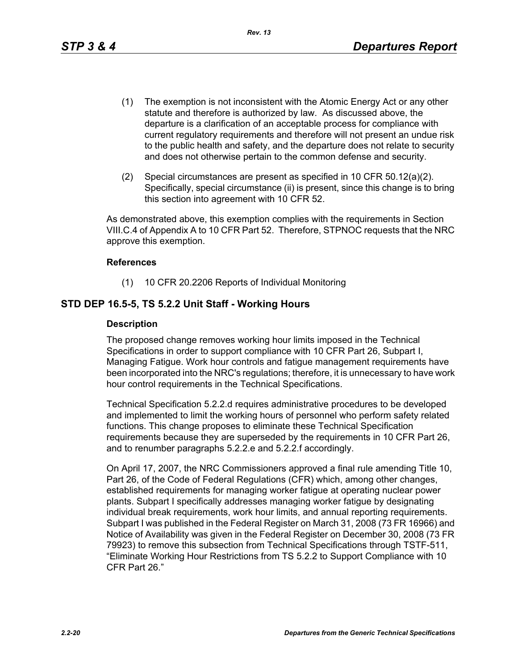- (1) The exemption is not inconsistent with the Atomic Energy Act or any other statute and therefore is authorized by law. As discussed above, the departure is a clarification of an acceptable process for compliance with current regulatory requirements and therefore will not present an undue risk to the public health and safety, and the departure does not relate to security and does not otherwise pertain to the common defense and security.
- (2) Special circumstances are present as specified in 10 CFR 50.12(a)(2). Specifically, special circumstance (ii) is present, since this change is to bring this section into agreement with 10 CFR 52.

As demonstrated above, this exemption complies with the requirements in Section VIII.C.4 of Appendix A to 10 CFR Part 52. Therefore, STPNOC requests that the NRC approve this exemption.

#### **References**

(1) 10 CFR 20.2206 Reports of Individual Monitoring

## **STD DEP 16.5-5, TS 5.2.2 Unit Staff - Working Hours**

#### **Description**

The proposed change removes working hour limits imposed in the Technical Specifications in order to support compliance with 10 CFR Part 26, Subpart I, Managing Fatigue. Work hour controls and fatigue management requirements have been incorporated into the NRC's regulations; therefore, it is unnecessary to have work hour control requirements in the Technical Specifications.

Technical Specification 5.2.2.d requires administrative procedures to be developed and implemented to limit the working hours of personnel who perform safety related functions. This change proposes to eliminate these Technical Specification requirements because they are superseded by the requirements in 10 CFR Part 26, and to renumber paragraphs 5.2.2.e and 5.2.2.f accordingly.

On April 17, 2007, the NRC Commissioners approved a final rule amending Title 10, Part 26, of the Code of Federal Regulations (CFR) which, among other changes, established requirements for managing worker fatigue at operating nuclear power plants. Subpart I specifically addresses managing worker fatigue by designating individual break requirements, work hour limits, and annual reporting requirements. Subpart I was published in the Federal Register on March 31, 2008 (73 FR 16966) and Notice of Availability was given in the Federal Register on December 30, 2008 (73 FR 79923) to remove this subsection from Technical Specifications through TSTF-511, "Eliminate Working Hour Restrictions from TS 5.2.2 to Support Compliance with 10 CFR Part 26."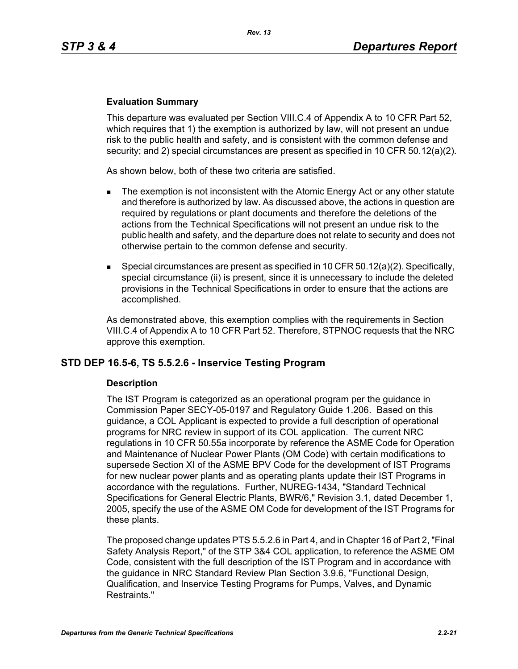#### **Evaluation Summary**

This departure was evaluated per Section VIII.C.4 of Appendix A to 10 CFR Part 52, which requires that 1) the exemption is authorized by law, will not present an undue risk to the public health and safety, and is consistent with the common defense and security; and 2) special circumstances are present as specified in 10 CFR 50.12(a)(2).

As shown below, both of these two criteria are satisfied.

- The exemption is not inconsistent with the Atomic Energy Act or any other statute and therefore is authorized by law. As discussed above, the actions in question are required by regulations or plant documents and therefore the deletions of the actions from the Technical Specifications will not present an undue risk to the public health and safety, and the departure does not relate to security and does not otherwise pertain to the common defense and security.
- **Special circumstances are present as specified in 10 CFR 50.12(a)(2). Specifically,** special circumstance (ii) is present, since it is unnecessary to include the deleted provisions in the Technical Specifications in order to ensure that the actions are accomplished.

As demonstrated above, this exemption complies with the requirements in Section VIII.C.4 of Appendix A to 10 CFR Part 52. Therefore, STPNOC requests that the NRC approve this exemption.

## **STD DEP 16.5-6, TS 5.5.2.6 - Inservice Testing Program**

#### **Description**

The IST Program is categorized as an operational program per the guidance in Commission Paper SECY-05-0197 and Regulatory Guide 1.206. Based on this guidance, a COL Applicant is expected to provide a full description of operational programs for NRC review in support of its COL application. The current NRC regulations in 10 CFR 50.55a incorporate by reference the ASME Code for Operation and Maintenance of Nuclear Power Plants (OM Code) with certain modifications to supersede Section XI of the ASME BPV Code for the development of IST Programs for new nuclear power plants and as operating plants update their IST Programs in accordance with the regulations. Further, NUREG-1434, "Standard Technical Specifications for General Electric Plants, BWR/6," Revision 3.1, dated December 1, 2005, specify the use of the ASME OM Code for development of the IST Programs for these plants.

The proposed change updates PTS 5.5.2.6 in Part 4, and in Chapter 16 of Part 2, "Final Safety Analysis Report," of the STP 3&4 COL application, to reference the ASME OM Code, consistent with the full description of the IST Program and in accordance with the guidance in NRC Standard Review Plan Section 3.9.6, "Functional Design, Qualification, and Inservice Testing Programs for Pumps, Valves, and Dynamic Restraints."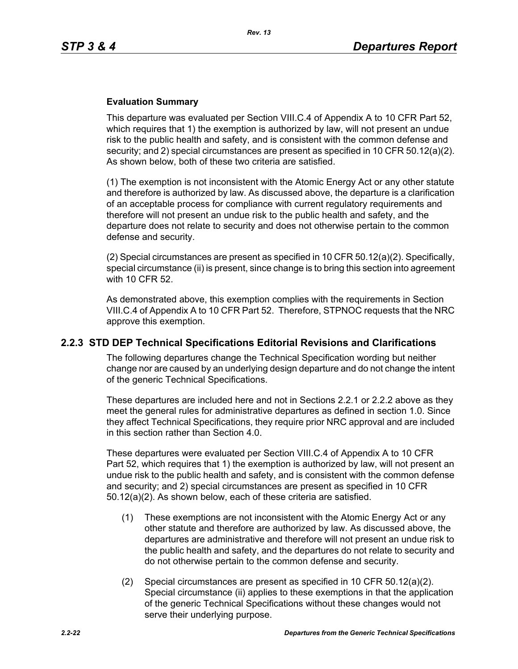## **Evaluation Summary**

This departure was evaluated per Section VIII.C.4 of Appendix A to 10 CFR Part 52, which requires that 1) the exemption is authorized by law, will not present an undue risk to the public health and safety, and is consistent with the common defense and security; and 2) special circumstances are present as specified in 10 CFR 50.12(a)(2). As shown below, both of these two criteria are satisfied.

(1) The exemption is not inconsistent with the Atomic Energy Act or any other statute and therefore is authorized by law. As discussed above, the departure is a clarification of an acceptable process for compliance with current regulatory requirements and therefore will not present an undue risk to the public health and safety, and the departure does not relate to security and does not otherwise pertain to the common defense and security.

(2) Special circumstances are present as specified in 10 CFR  $50.12(a)(2)$ . Specifically, special circumstance (ii) is present, since change is to bring this section into agreement with 10 CFR 52.

As demonstrated above, this exemption complies with the requirements in Section VIII.C.4 of Appendix A to 10 CFR Part 52. Therefore, STPNOC requests that the NRC approve this exemption.

## **2.2.3 STD DEP Technical Specifications Editorial Revisions and Clarifications**

The following departures change the Technical Specification wording but neither change nor are caused by an underlying design departure and do not change the intent of the generic Technical Specifications.

These departures are included here and not in Sections 2.2.1 or 2.2.2 above as they meet the general rules for administrative departures as defined in section 1.0. Since they affect Technical Specifications, they require prior NRC approval and are included in this section rather than Section 4.0.

These departures were evaluated per Section VIII.C.4 of Appendix A to 10 CFR Part 52, which requires that 1) the exemption is authorized by law, will not present an undue risk to the public health and safety, and is consistent with the common defense and security; and 2) special circumstances are present as specified in 10 CFR 50.12(a)(2). As shown below, each of these criteria are satisfied.

- (1) These exemptions are not inconsistent with the Atomic Energy Act or any other statute and therefore are authorized by law. As discussed above, the departures are administrative and therefore will not present an undue risk to the public health and safety, and the departures do not relate to security and do not otherwise pertain to the common defense and security.
- (2) Special circumstances are present as specified in 10 CFR 50.12(a)(2). Special circumstance (ii) applies to these exemptions in that the application of the generic Technical Specifications without these changes would not serve their underlying purpose.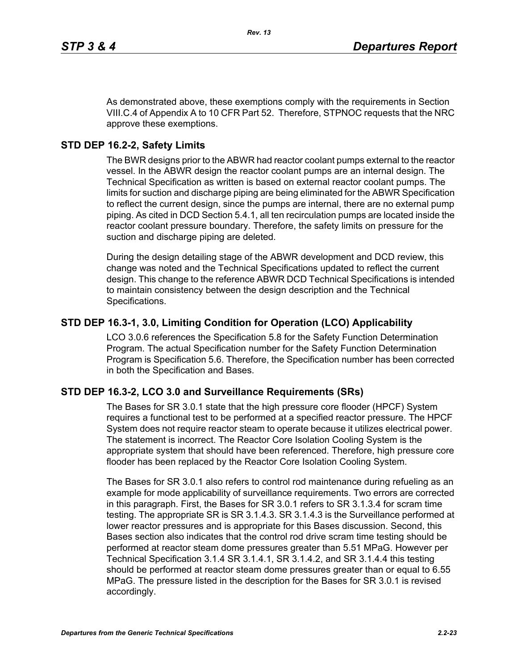As demonstrated above, these exemptions comply with the requirements in Section VIII.C.4 of Appendix A to 10 CFR Part 52. Therefore, STPNOC requests that the NRC approve these exemptions.

# **STD DEP 16.2-2, Safety Limits**

The BWR designs prior to the ABWR had reactor coolant pumps external to the reactor vessel. In the ABWR design the reactor coolant pumps are an internal design. The Technical Specification as written is based on external reactor coolant pumps. The limits for suction and discharge piping are being eliminated for the ABWR Specification to reflect the current design, since the pumps are internal, there are no external pump piping. As cited in DCD Section 5.4.1, all ten recirculation pumps are located inside the reactor coolant pressure boundary. Therefore, the safety limits on pressure for the suction and discharge piping are deleted.

During the design detailing stage of the ABWR development and DCD review, this change was noted and the Technical Specifications updated to reflect the current design. This change to the reference ABWR DCD Technical Specifications is intended to maintain consistency between the design description and the Technical Specifications.

# **STD DEP 16.3-1, 3.0, Limiting Condition for Operation (LCO) Applicability**

LCO 3.0.6 references the Specification 5.8 for the Safety Function Determination Program. The actual Specification number for the Safety Function Determination Program is Specification 5.6. Therefore, the Specification number has been corrected in both the Specification and Bases.

## **STD DEP 16.3-2, LCO 3.0 and Surveillance Requirements (SRs)**

The Bases for SR 3.0.1 state that the high pressure core flooder (HPCF) System requires a functional test to be performed at a specified reactor pressure. The HPCF System does not require reactor steam to operate because it utilizes electrical power. The statement is incorrect. The Reactor Core Isolation Cooling System is the appropriate system that should have been referenced. Therefore, high pressure core flooder has been replaced by the Reactor Core Isolation Cooling System.

The Bases for SR 3.0.1 also refers to control rod maintenance during refueling as an example for mode applicability of surveillance requirements. Two errors are corrected in this paragraph. First, the Bases for SR 3.0.1 refers to SR 3.1.3.4 for scram time testing. The appropriate SR is SR 3.1.4.3. SR 3.1.4.3 is the Surveillance performed at lower reactor pressures and is appropriate for this Bases discussion. Second, this Bases section also indicates that the control rod drive scram time testing should be performed at reactor steam dome pressures greater than 5.51 MPaG. However per Technical Specification 3.1.4 SR 3.1.4.1, SR 3.1.4.2, and SR 3.1.4.4 this testing should be performed at reactor steam dome pressures greater than or equal to 6.55 MPaG. The pressure listed in the description for the Bases for SR 3.0.1 is revised accordingly.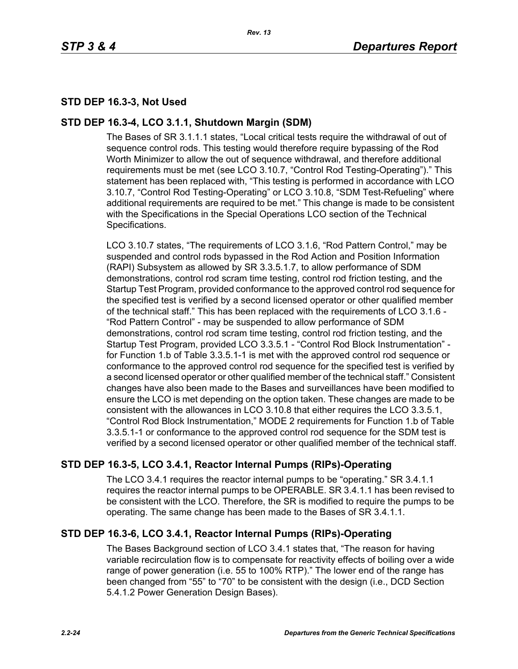# **STD DEP 16.3-3, Not Used**

# **STD DEP 16.3-4, LCO 3.1.1, Shutdown Margin (SDM)**

The Bases of SR 3.1.1.1 states, "Local critical tests require the withdrawal of out of sequence control rods. This testing would therefore require bypassing of the Rod Worth Minimizer to allow the out of sequence withdrawal, and therefore additional requirements must be met (see LCO 3.10.7, "Control Rod Testing-Operating")." This statement has been replaced with, "This testing is performed in accordance with LCO 3.10.7, "Control Rod Testing-Operating" or LCO 3.10.8, "SDM Test-Refueling" where additional requirements are required to be met." This change is made to be consistent with the Specifications in the Special Operations LCO section of the Technical Specifications.

LCO 3.10.7 states, "The requirements of LCO 3.1.6, "Rod Pattern Control," may be suspended and control rods bypassed in the Rod Action and Position Information (RAPI) Subsystem as allowed by SR 3.3.5.1.7, to allow performance of SDM demonstrations, control rod scram time testing, control rod friction testing, and the Startup Test Program, provided conformance to the approved control rod sequence for the specified test is verified by a second licensed operator or other qualified member of the technical staff." This has been replaced with the requirements of LCO 3.1.6 - "Rod Pattern Control" - may be suspended to allow performance of SDM demonstrations, control rod scram time testing, control rod friction testing, and the Startup Test Program, provided LCO 3.3.5.1 - "Control Rod Block Instrumentation" for Function 1.b of Table 3.3.5.1-1 is met with the approved control rod sequence or conformance to the approved control rod sequence for the specified test is verified by a second licensed operator or other qualified member of the technical staff." Consistent changes have also been made to the Bases and surveillances have been modified to ensure the LCO is met depending on the option taken. These changes are made to be consistent with the allowances in LCO 3.10.8 that either requires the LCO 3.3.5.1, "Control Rod Block Instrumentation," MODE 2 requirements for Function 1.b of Table 3.3.5.1-1 or conformance to the approved control rod sequence for the SDM test is verified by a second licensed operator or other qualified member of the technical staff.

# **STD DEP 16.3-5, LCO 3.4.1, Reactor Internal Pumps (RIPs)-Operating**

The LCO 3.4.1 requires the reactor internal pumps to be "operating." SR 3.4.1.1 requires the reactor internal pumps to be OPERABLE. SR 3.4.1.1 has been revised to be consistent with the LCO. Therefore, the SR is modified to require the pumps to be operating. The same change has been made to the Bases of SR 3.4.1.1.

# **STD DEP 16.3-6, LCO 3.4.1, Reactor Internal Pumps (RIPs)-Operating**

The Bases Background section of LCO 3.4.1 states that, "The reason for having variable recirculation flow is to compensate for reactivity effects of boiling over a wide range of power generation (i.e. 55 to 100% RTP)." The lower end of the range has been changed from "55" to "70" to be consistent with the design (i.e., DCD Section 5.4.1.2 Power Generation Design Bases).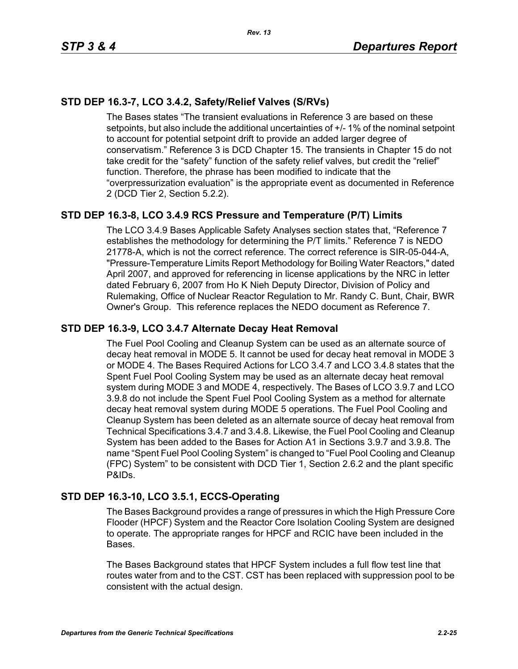# **STD DEP 16.3-7, LCO 3.4.2, Safety/Relief Valves (S/RVs)**

The Bases states "The transient evaluations in Reference 3 are based on these setpoints, but also include the additional uncertainties of +/- 1% of the nominal setpoint to account for potential setpoint drift to provide an added larger degree of conservatism." Reference 3 is DCD Chapter 15. The transients in Chapter 15 do not take credit for the "safety" function of the safety relief valves, but credit the "relief" function. Therefore, the phrase has been modified to indicate that the "overpressurization evaluation" is the appropriate event as documented in Reference 2 (DCD Tier 2, Section 5.2.2).

# **STD DEP 16.3-8, LCO 3.4.9 RCS Pressure and Temperature (P/T) Limits**

The LCO 3.4.9 Bases Applicable Safety Analyses section states that, "Reference 7 establishes the methodology for determining the P/T limits." Reference 7 is NEDO 21778-A, which is not the correct reference. The correct reference is SIR-05-044-A, "Pressure-Temperature Limits Report Methodology for Boiling Water Reactors," dated April 2007, and approved for referencing in license applications by the NRC in letter dated February 6, 2007 from Ho K Nieh Deputy Director, Division of Policy and Rulemaking, Office of Nuclear Reactor Regulation to Mr. Randy C. Bunt, Chair, BWR Owner's Group. This reference replaces the NEDO document as Reference 7.

## **STD DEP 16.3-9, LCO 3.4.7 Alternate Decay Heat Removal**

The Fuel Pool Cooling and Cleanup System can be used as an alternate source of decay heat removal in MODE 5. It cannot be used for decay heat removal in MODE 3 or MODE 4. The Bases Required Actions for LCO 3.4.7 and LCO 3.4.8 states that the Spent Fuel Pool Cooling System may be used as an alternate decay heat removal system during MODE 3 and MODE 4, respectively. The Bases of LCO 3.9.7 and LCO 3.9.8 do not include the Spent Fuel Pool Cooling System as a method for alternate decay heat removal system during MODE 5 operations. The Fuel Pool Cooling and Cleanup System has been deleted as an alternate source of decay heat removal from Technical Specifications 3.4.7 and 3.4.8. Likewise, the Fuel Pool Cooling and Cleanup System has been added to the Bases for Action A1 in Sections 3.9.7 and 3.9.8. The name "Spent Fuel Pool Cooling System" is changed to "Fuel Pool Cooling and Cleanup (FPC) System" to be consistent with DCD Tier 1, Section 2.6.2 and the plant specific P&IDs.

## **STD DEP 16.3-10, LCO 3.5.1, ECCS-Operating**

The Bases Background provides a range of pressures in which the High Pressure Core Flooder (HPCF) System and the Reactor Core Isolation Cooling System are designed to operate. The appropriate ranges for HPCF and RCIC have been included in the Bases.

The Bases Background states that HPCF System includes a full flow test line that routes water from and to the CST. CST has been replaced with suppression pool to be consistent with the actual design.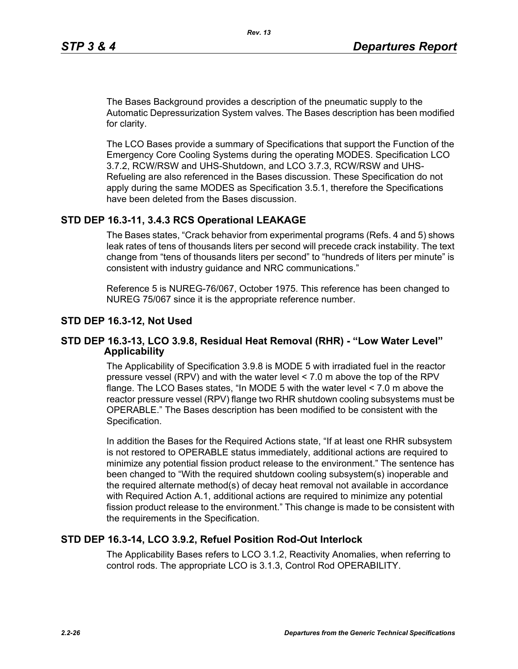The Bases Background provides a description of the pneumatic supply to the Automatic Depressurization System valves. The Bases description has been modified for clarity.

The LCO Bases provide a summary of Specifications that support the Function of the Emergency Core Cooling Systems during the operating MODES. Specification LCO 3.7.2, RCW/RSW and UHS-Shutdown, and LCO 3.7.3, RCW/RSW and UHS-Refueling are also referenced in the Bases discussion. These Specification do not apply during the same MODES as Specification 3.5.1, therefore the Specifications have been deleted from the Bases discussion.

## **STD DEP 16.3-11, 3.4.3 RCS Operational LEAKAGE**

The Bases states, "Crack behavior from experimental programs (Refs. 4 and 5) shows leak rates of tens of thousands liters per second will precede crack instability. The text change from "tens of thousands liters per second" to "hundreds of liters per minute" is consistent with industry guidance and NRC communications."

Reference 5 is NUREG-76/067, October 1975. This reference has been changed to NUREG 75/067 since it is the appropriate reference number.

## **STD DEP 16.3-12, Not Used**

## **STD DEP 16.3-13, LCO 3.9.8, Residual Heat Removal (RHR) - "Low Water Level" Applicability**

The Applicability of Specification 3.9.8 is MODE 5 with irradiated fuel in the reactor pressure vessel (RPV) and with the water level < 7.0 m above the top of the RPV flange. The LCO Bases states, "In MODE 5 with the water level < 7.0 m above the reactor pressure vessel (RPV) flange two RHR shutdown cooling subsystems must be OPERABLE." The Bases description has been modified to be consistent with the Specification.

In addition the Bases for the Required Actions state, "If at least one RHR subsystem is not restored to OPERABLE status immediately, additional actions are required to minimize any potential fission product release to the environment." The sentence has been changed to "With the required shutdown cooling subsystem(s) inoperable and the required alternate method(s) of decay heat removal not available in accordance with Required Action A.1, additional actions are required to minimize any potential fission product release to the environment." This change is made to be consistent with the requirements in the Specification.

## **STD DEP 16.3-14, LCO 3.9.2, Refuel Position Rod-Out Interlock**

The Applicability Bases refers to LCO 3.1.2, Reactivity Anomalies, when referring to control rods. The appropriate LCO is 3.1.3, Control Rod OPERABILITY.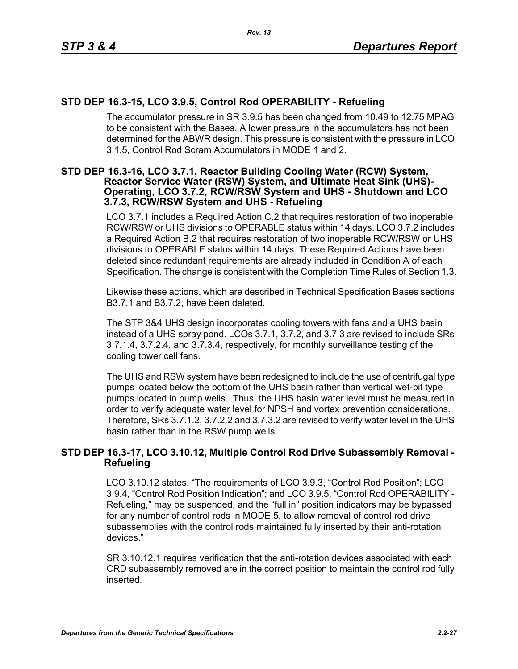# **STD DEP 16.3-15, LCO 3.9.5, Control Rod OPERABILITY - Refueling**

The accumulator pressure in SR 3.9.5 has been changed from 10.49 to 12.75 MPAG to be consistent with the Bases. A lower pressure in the accumulators has not been determined for the ABWR design. This pressure is consistent with the pressure in LCO 3.1.5, Control Rod Scram Accumulators in MODE 1 and 2.

#### **STD DEP 16.3-16, LCO 3.7.1, Reactor Building Cooling Water (RCW) System, Reactor Service Water (RSW) System, and Ultimate Heat Sink (UHS)- Operating, LCO 3.7.2, RCW/RSW System and UHS - Shutdown and LCO 3.7.3, RCW/RSW System and UHS - Refueling**

LCO 3.7.1 includes a Required Action C.2 that requires restoration of two inoperable RCW/RSW or UHS divisions to OPERABLE status within 14 days. LCO 3.7.2 includes a Required Action B.2 that requires restoration of two inoperable RCW/RSW or UHS divisions to OPERABLE status within 14 days. These Required Actions have been deleted since redundant requirements are already included in Condition A of each Specification. The change is consistent with the Completion Time Rules of Section 1.3.

Likewise these actions, which are described in Technical Specification Bases sections B3.7.1 and B3.7.2, have been deleted.

The STP 3&4 UHS design incorporates cooling towers with fans and a UHS basin instead of a UHS spray pond. LCOs 3.7.1, 3.7.2, and 3.7.3 are revised to include SRs 3.7.1.4, 3.7.2.4, and 3.7.3.4, respectively, for monthly surveillance testing of the cooling tower cell fans.

The UHS and RSW system have been redesigned to include the use of centrifugal type pumps located below the bottom of the UHS basin rather than vertical wet-pit type pumps located in pump wells. Thus, the UHS basin water level must be measured in order to verify adequate water level for NPSH and vortex prevention considerations. Therefore, SRs 3.7.1.2, 3.7.2.2 and 3.7.3.2 are revised to verify water level in the UHS basin rather than in the RSW pump wells.

## **STD DEP 16.3-17, LCO 3.10.12, Multiple Control Rod Drive Subassembly Removal - Refueling**

LCO 3.10.12 states, "The requirements of LCO 3.9.3, "Control Rod Position"; LCO 3.9.4, "Control Rod Position Indication"; and LCO 3.9.5, "Control Rod OPERABILITY - Refueling," may be suspended, and the "full in" position indicators may be bypassed for any number of control rods in MODE 5, to allow removal of control rod drive subassemblies with the control rods maintained fully inserted by their anti-rotation devices."

SR 3.10.12.1 requires verification that the anti-rotation devices associated with each CRD subassembly removed are in the correct position to maintain the control rod fully inserted.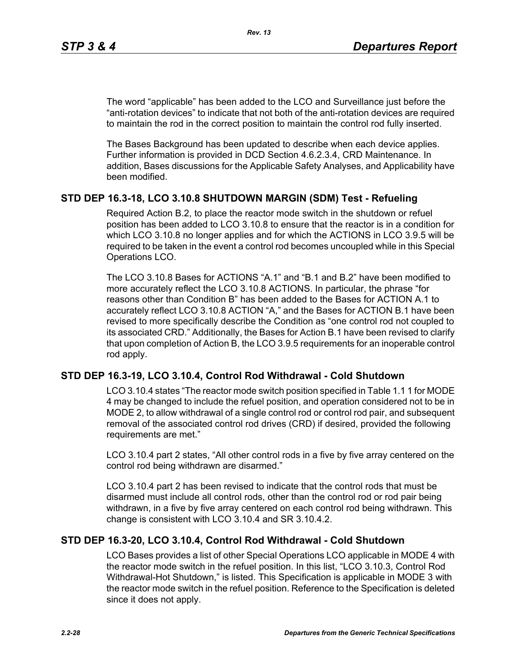The word "applicable" has been added to the LCO and Surveillance just before the "anti-rotation devices" to indicate that not both of the anti-rotation devices are required to maintain the rod in the correct position to maintain the control rod fully inserted.

*Rev. 13*

The Bases Background has been updated to describe when each device applies. Further information is provided in DCD Section 4.6.2.3.4, CRD Maintenance. In addition, Bases discussions for the Applicable Safety Analyses, and Applicability have been modified.

## **STD DEP 16.3-18, LCO 3.10.8 SHUTDOWN MARGIN (SDM) Test - Refueling**

Required Action B.2, to place the reactor mode switch in the shutdown or refuel position has been added to LCO 3.10.8 to ensure that the reactor is in a condition for which LCO 3.10.8 no longer applies and for which the ACTIONS in LCO 3.9.5 will be required to be taken in the event a control rod becomes uncoupled while in this Special Operations LCO.

The LCO 3.10.8 Bases for ACTIONS "A.1" and "B.1 and B.2" have been modified to more accurately reflect the LCO 3.10.8 ACTIONS. In particular, the phrase "for reasons other than Condition B" has been added to the Bases for ACTION A.1 to accurately reflect LCO 3.10.8 ACTION "A," and the Bases for ACTION B.1 have been revised to more specifically describe the Condition as "one control rod not coupled to its associated CRD." Additionally, the Bases for Action B.1 have been revised to clarify that upon completion of Action B, the LCO 3.9.5 requirements for an inoperable control rod apply.

## **STD DEP 16.3-19, LCO 3.10.4, Control Rod Withdrawal - Cold Shutdown**

LCO 3.10.4 states "The reactor mode switch position specified in Table 1.1 1 for MODE 4 may be changed to include the refuel position, and operation considered not to be in MODE 2, to allow withdrawal of a single control rod or control rod pair, and subsequent removal of the associated control rod drives (CRD) if desired, provided the following requirements are met."

LCO 3.10.4 part 2 states, "All other control rods in a five by five array centered on the control rod being withdrawn are disarmed."

LCO 3.10.4 part 2 has been revised to indicate that the control rods that must be disarmed must include all control rods, other than the control rod or rod pair being withdrawn, in a five by five array centered on each control rod being withdrawn. This change is consistent with LCO 3.10.4 and SR 3.10.4.2.

## **STD DEP 16.3-20, LCO 3.10.4, Control Rod Withdrawal - Cold Shutdown**

LCO Bases provides a list of other Special Operations LCO applicable in MODE 4 with the reactor mode switch in the refuel position. In this list, "LCO 3.10.3, Control Rod Withdrawal-Hot Shutdown," is listed. This Specification is applicable in MODE 3 with the reactor mode switch in the refuel position. Reference to the Specification is deleted since it does not apply.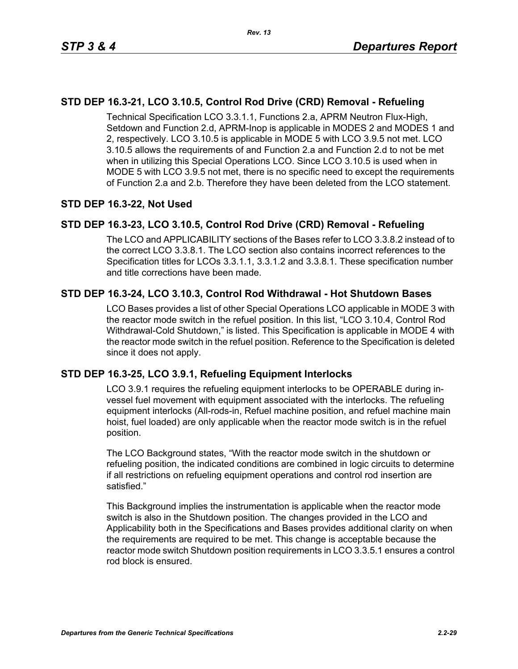# **STD DEP 16.3-21, LCO 3.10.5, Control Rod Drive (CRD) Removal - Refueling**

Technical Specification LCO 3.3.1.1, Functions 2.a, APRM Neutron Flux-High, Setdown and Function 2.d, APRM-Inop is applicable in MODES 2 and MODES 1 and 2, respectively. LCO 3.10.5 is applicable in MODE 5 with LCO 3.9.5 not met. LCO 3.10.5 allows the requirements of and Function 2.a and Function 2.d to not be met when in utilizing this Special Operations LCO. Since LCO 3.10.5 is used when in MODE 5 with LCO 3.9.5 not met, there is no specific need to except the requirements of Function 2.a and 2.b. Therefore they have been deleted from the LCO statement.

## **STD DEP 16.3-22, Not Used**

## **STD DEP 16.3-23, LCO 3.10.5, Control Rod Drive (CRD) Removal - Refueling**

The LCO and APPLICABILITY sections of the Bases refer to LCO 3.3.8.2 instead of to the correct LCO 3.3.8.1. The LCO section also contains incorrect references to the Specification titles for LCOs 3.3.1.1, 3.3.1.2 and 3.3.8.1. These specification number and title corrections have been made.

## **STD DEP 16.3-24, LCO 3.10.3, Control Rod Withdrawal - Hot Shutdown Bases**

LCO Bases provides a list of other Special Operations LCO applicable in MODE 3 with the reactor mode switch in the refuel position. In this list, "LCO 3.10.4, Control Rod Withdrawal-Cold Shutdown," is listed. This Specification is applicable in MODE 4 with the reactor mode switch in the refuel position. Reference to the Specification is deleted since it does not apply.

## **STD DEP 16.3-25, LCO 3.9.1, Refueling Equipment Interlocks**

LCO 3.9.1 requires the refueling equipment interlocks to be OPERABLE during invessel fuel movement with equipment associated with the interlocks. The refueling equipment interlocks (All-rods-in, Refuel machine position, and refuel machine main hoist, fuel loaded) are only applicable when the reactor mode switch is in the refuel position.

The LCO Background states, "With the reactor mode switch in the shutdown or refueling position, the indicated conditions are combined in logic circuits to determine if all restrictions on refueling equipment operations and control rod insertion are satisfied."

This Background implies the instrumentation is applicable when the reactor mode switch is also in the Shutdown position. The changes provided in the LCO and Applicability both in the Specifications and Bases provides additional clarity on when the requirements are required to be met. This change is acceptable because the reactor mode switch Shutdown position requirements in LCO 3.3.5.1 ensures a control rod block is ensured.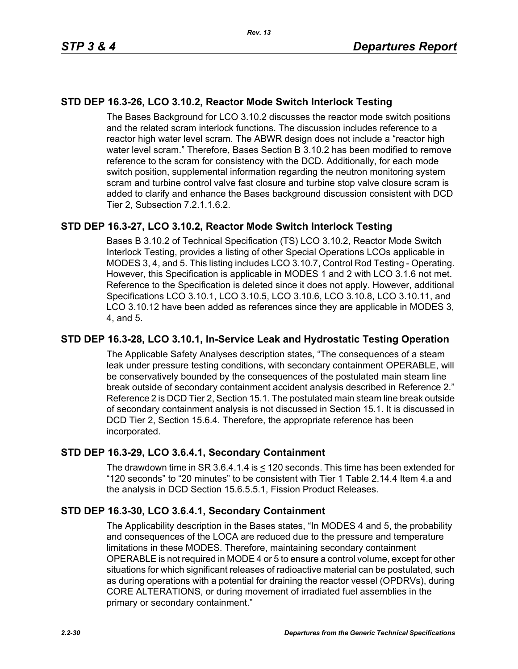# **STD DEP 16.3-26, LCO 3.10.2, Reactor Mode Switch Interlock Testing**

The Bases Background for LCO 3.10.2 discusses the reactor mode switch positions and the related scram interlock functions. The discussion includes reference to a reactor high water level scram. The ABWR design does not include a "reactor high water level scram." Therefore, Bases Section B 3.10.2 has been modified to remove reference to the scram for consistency with the DCD. Additionally, for each mode switch position, supplemental information regarding the neutron monitoring system scram and turbine control valve fast closure and turbine stop valve closure scram is added to clarify and enhance the Bases background discussion consistent with DCD Tier 2, Subsection 7.2.1.1.6.2.

## **STD DEP 16.3-27, LCO 3.10.2, Reactor Mode Switch Interlock Testing**

Bases B 3.10.2 of Technical Specification (TS) LCO 3.10.2, Reactor Mode Switch Interlock Testing, provides a listing of other Special Operations LCOs applicable in MODES 3, 4, and 5. This listing includes LCO 3.10.7, Control Rod Testing - Operating. However, this Specification is applicable in MODES 1 and 2 with LCO 3.1.6 not met. Reference to the Specification is deleted since it does not apply. However, additional Specifications LCO 3.10.1, LCO 3.10.5, LCO 3.10.6, LCO 3.10.8, LCO 3.10.11, and LCO 3.10.12 have been added as references since they are applicable in MODES 3, 4, and 5.

## **STD DEP 16.3-28, LCO 3.10.1, In-Service Leak and Hydrostatic Testing Operation**

The Applicable Safety Analyses description states, "The consequences of a steam leak under pressure testing conditions, with secondary containment OPERABLE, will be conservatively bounded by the consequences of the postulated main steam line break outside of secondary containment accident analysis described in Reference 2." Reference 2 is DCD Tier 2, Section 15.1. The postulated main steam line break outside of secondary containment analysis is not discussed in Section 15.1. It is discussed in DCD Tier 2, Section 15.6.4. Therefore, the appropriate reference has been incorporated.

## **STD DEP 16.3-29, LCO 3.6.4.1, Secondary Containment**

The drawdown time in SR 3.6.4.1.4 is < 120 seconds. This time has been extended for "120 seconds" to "20 minutes" to be consistent with Tier 1 Table 2.14.4 Item 4.a and the analysis in DCD Section 15.6.5.5.1, Fission Product Releases.

## **STD DEP 16.3-30, LCO 3.6.4.1, Secondary Containment**

The Applicability description in the Bases states, "In MODES 4 and 5, the probability and consequences of the LOCA are reduced due to the pressure and temperature limitations in these MODES. Therefore, maintaining secondary containment OPERABLE is not required in MODE 4 or 5 to ensure a control volume, except for other situations for which significant releases of radioactive material can be postulated, such as during operations with a potential for draining the reactor vessel (OPDRVs), during CORE ALTERATIONS, or during movement of irradiated fuel assemblies in the primary or secondary containment."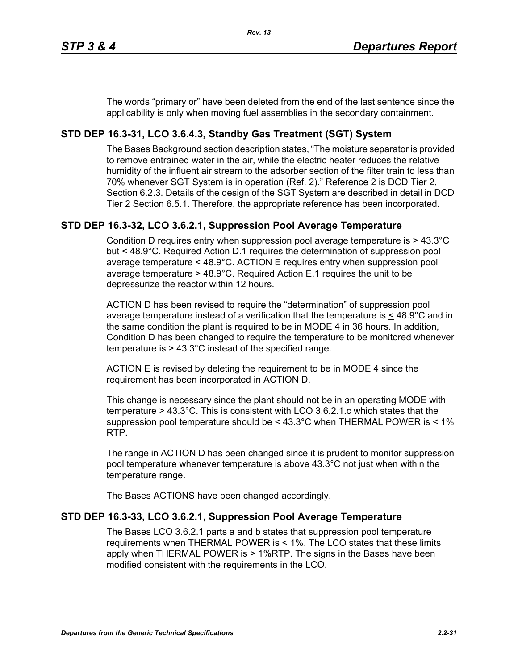The words "primary or" have been deleted from the end of the last sentence since the applicability is only when moving fuel assemblies in the secondary containment.

# **STD DEP 16.3-31, LCO 3.6.4.3, Standby Gas Treatment (SGT) System**

The Bases Background section description states, "The moisture separator is provided to remove entrained water in the air, while the electric heater reduces the relative humidity of the influent air stream to the adsorber section of the filter train to less than 70% whenever SGT System is in operation (Ref. 2)." Reference 2 is DCD Tier 2, Section 6.2.3. Details of the design of the SGT System are described in detail in DCD Tier 2 Section 6.5.1. Therefore, the appropriate reference has been incorporated.

## **STD DEP 16.3-32, LCO 3.6.2.1, Suppression Pool Average Temperature**

Condition D requires entry when suppression pool average temperature is > 43.3°C but < 48.9°C. Required Action D.1 requires the determination of suppression pool average temperature < 48.9°C. ACTION E requires entry when suppression pool average temperature > 48.9°C. Required Action E.1 requires the unit to be depressurize the reactor within 12 hours.

ACTION D has been revised to require the "determination" of suppression pool average temperature instead of a verification that the temperature is  $\leq 48.9^{\circ}$ C and in the same condition the plant is required to be in MODE 4 in 36 hours. In addition, Condition D has been changed to require the temperature to be monitored whenever temperature is > 43.3°C instead of the specified range.

ACTION E is revised by deleting the requirement to be in MODE 4 since the requirement has been incorporated in ACTION D.

This change is necessary since the plant should not be in an operating MODE with temperature > 43.3°C. This is consistent with LCO 3.6.2.1.c which states that the suppression pool temperature should be  $\leq 43.3^{\circ}$ C when THERMAL POWER is  $\leq 1\%$ RTP.

The range in ACTION D has been changed since it is prudent to monitor suppression pool temperature whenever temperature is above 43.3°C not just when within the temperature range.

The Bases ACTIONS have been changed accordingly.

## **STD DEP 16.3-33, LCO 3.6.2.1, Suppression Pool Average Temperature**

The Bases LCO 3.6.2.1 parts a and b states that suppression pool temperature requirements when THERMAL POWER is < 1%. The LCO states that these limits apply when THERMAL POWER is > 1%RTP. The signs in the Bases have been modified consistent with the requirements in the LCO.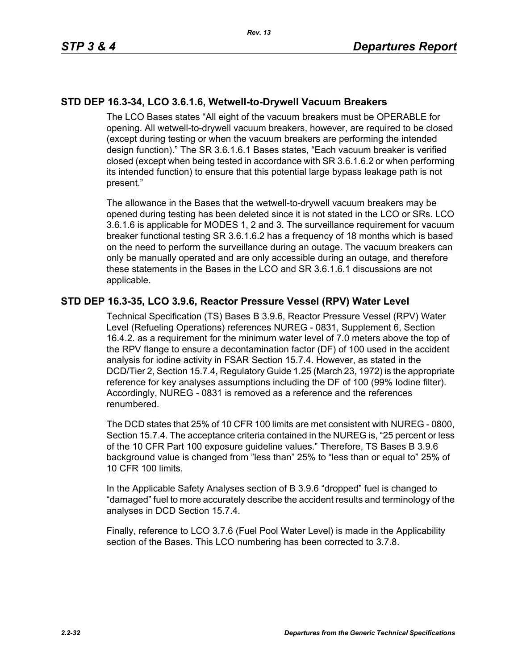## **STD DEP 16.3-34, LCO 3.6.1.6, Wetwell-to-Drywell Vacuum Breakers**

The LCO Bases states "All eight of the vacuum breakers must be OPERABLE for opening. All wetwell-to-drywell vacuum breakers, however, are required to be closed (except during testing or when the vacuum breakers are performing the intended design function)." The SR 3.6.1.6.1 Bases states, "Each vacuum breaker is verified closed (except when being tested in accordance with SR 3.6.1.6.2 or when performing its intended function) to ensure that this potential large bypass leakage path is not present."

The allowance in the Bases that the wetwell-to-drywell vacuum breakers may be opened during testing has been deleted since it is not stated in the LCO or SRs. LCO 3.6.1.6 is applicable for MODES 1, 2 and 3. The surveillance requirement for vacuum breaker functional testing SR 3.6.1.6.2 has a frequency of 18 months which is based on the need to perform the surveillance during an outage. The vacuum breakers can only be manually operated and are only accessible during an outage, and therefore these statements in the Bases in the LCO and SR 3.6.1.6.1 discussions are not applicable.

## **STD DEP 16.3-35, LCO 3.9.6, Reactor Pressure Vessel (RPV) Water Level**

Technical Specification (TS) Bases B 3.9.6, Reactor Pressure Vessel (RPV) Water Level (Refueling Operations) references NUREG - 0831, Supplement 6, Section 16.4.2. as a requirement for the minimum water level of 7.0 meters above the top of the RPV flange to ensure a decontamination factor (DF) of 100 used in the accident analysis for iodine activity in FSAR Section 15.7.4. However, as stated in the DCD/Tier 2, Section 15.7.4, Regulatory Guide 1.25 (March 23, 1972) is the appropriate reference for key analyses assumptions including the DF of 100 (99% Iodine filter). Accordingly, NUREG - 0831 is removed as a reference and the references renumbered.

The DCD states that 25% of 10 CFR 100 limits are met consistent with NUREG - 0800, Section 15.7.4. The acceptance criteria contained in the NUREG is, "25 percent or less of the 10 CFR Part 100 exposure guideline values." Therefore, TS Bases B 3.9.6 background value is changed from "less than" 25% to "less than or equal to" 25% of 10 CFR 100 limits.

In the Applicable Safety Analyses section of B 3.9.6 "dropped" fuel is changed to "damaged" fuel to more accurately describe the accident results and terminology of the analyses in DCD Section 15.7.4.

Finally, reference to LCO 3.7.6 (Fuel Pool Water Level) is made in the Applicability section of the Bases. This LCO numbering has been corrected to 3.7.8.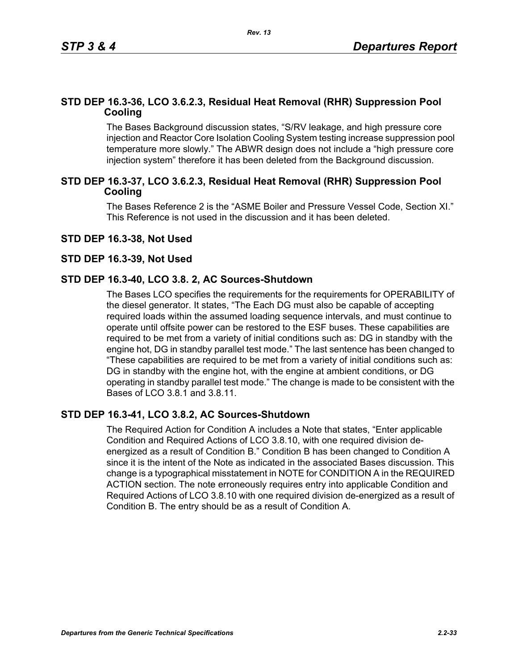## **STD DEP 16.3-36, LCO 3.6.2.3, Residual Heat Removal (RHR) Suppression Pool Cooling**

The Bases Background discussion states, "S/RV leakage, and high pressure core injection and Reactor Core Isolation Cooling System testing increase suppression pool temperature more slowly." The ABWR design does not include a "high pressure core injection system" therefore it has been deleted from the Background discussion.

## **STD DEP 16.3-37, LCO 3.6.2.3, Residual Heat Removal (RHR) Suppression Pool Cooling**

The Bases Reference 2 is the "ASME Boiler and Pressure Vessel Code, Section XI." This Reference is not used in the discussion and it has been deleted.

## **STD DEP 16.3-38, Not Used**

## **STD DEP 16.3-39, Not Used**

## **STD DEP 16.3-40, LCO 3.8. 2, AC Sources-Shutdown**

The Bases LCO specifies the requirements for the requirements for OPERABILITY of the diesel generator. It states, "The Each DG must also be capable of accepting required loads within the assumed loading sequence intervals, and must continue to operate until offsite power can be restored to the ESF buses. These capabilities are required to be met from a variety of initial conditions such as: DG in standby with the engine hot, DG in standby parallel test mode." The last sentence has been changed to "These capabilities are required to be met from a variety of initial conditions such as: DG in standby with the engine hot, with the engine at ambient conditions, or DG operating in standby parallel test mode." The change is made to be consistent with the Bases of LCO 3.8.1 and 3.8.11.

## **STD DEP 16.3-41, LCO 3.8.2, AC Sources-Shutdown**

The Required Action for Condition A includes a Note that states, "Enter applicable Condition and Required Actions of LCO 3.8.10, with one required division deenergized as a result of Condition B." Condition B has been changed to Condition A since it is the intent of the Note as indicated in the associated Bases discussion. This change is a typographical misstatement in NOTE for CONDITION A in the REQUIRED ACTION section. The note erroneously requires entry into applicable Condition and Required Actions of LCO 3.8.10 with one required division de-energized as a result of Condition B. The entry should be as a result of Condition A.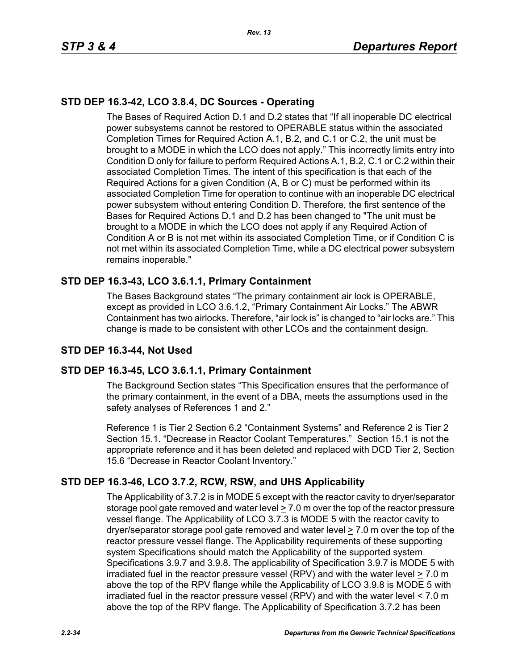# **STD DEP 16.3-42, LCO 3.8.4, DC Sources - Operating**

The Bases of Required Action D.1 and D.2 states that "If all inoperable DC electrical power subsystems cannot be restored to OPERABLE status within the associated Completion Times for Required Action A.1, B.2, and C.1 or C.2, the unit must be brought to a MODE in which the LCO does not apply." This incorrectly limits entry into Condition D only for failure to perform Required Actions A.1, B.2, C.1 or C.2 within their associated Completion Times. The intent of this specification is that each of the Required Actions for a given Condition (A, B or C) must be performed within its associated Completion Time for operation to continue with an inoperable DC electrical power subsystem without entering Condition D. Therefore, the first sentence of the Bases for Required Actions D.1 and D.2 has been changed to "The unit must be brought to a MODE in which the LCO does not apply if any Required Action of Condition A or B is not met within its associated Completion Time, or if Condition C is not met within its associated Completion Time, while a DC electrical power subsystem remains inoperable."

# **STD DEP 16.3-43, LCO 3.6.1.1, Primary Containment**

The Bases Background states "The primary containment air lock is OPERABLE, except as provided in LCO 3.6.1.2, "Primary Containment Air Locks." The ABWR Containment has two airlocks. Therefore, "air lock is" is changed to "air locks are." This change is made to be consistent with other LCOs and the containment design.

# **STD DEP 16.3-44, Not Used**

## **STD DEP 16.3-45, LCO 3.6.1.1, Primary Containment**

The Background Section states "This Specification ensures that the performance of the primary containment, in the event of a DBA, meets the assumptions used in the safety analyses of References 1 and 2."

Reference 1 is Tier 2 Section 6.2 "Containment Systems" and Reference 2 is Tier 2 Section 15.1. "Decrease in Reactor Coolant Temperatures." Section 15.1 is not the appropriate reference and it has been deleted and replaced with DCD Tier 2, Section 15.6 "Decrease in Reactor Coolant Inventory."

## **STD DEP 16.3-46, LCO 3.7.2, RCW, RSW, and UHS Applicability**

The Applicability of 3.7.2 is in MODE 5 except with the reactor cavity to dryer/separator storage pool gate removed and water level  $\geq 7.0$  m over the top of the reactor pressure vessel flange. The Applicability of LCO 3.7.3 is MODE 5 with the reactor cavity to dryer/separator storage pool gate removed and water level  $\geq 7.0$  m over the top of the reactor pressure vessel flange. The Applicability requirements of these supporting system Specifications should match the Applicability of the supported system Specifications 3.9.7 and 3.9.8. The applicability of Specification 3.9.7 is MODE 5 with irradiated fuel in the reactor pressure vessel (RPV) and with the water level > 7.0 m above the top of the RPV flange while the Applicability of LCO 3.9.8 is MODE 5 with irradiated fuel in the reactor pressure vessel (RPV) and with the water level < 7.0 m above the top of the RPV flange. The Applicability of Specification 3.7.2 has been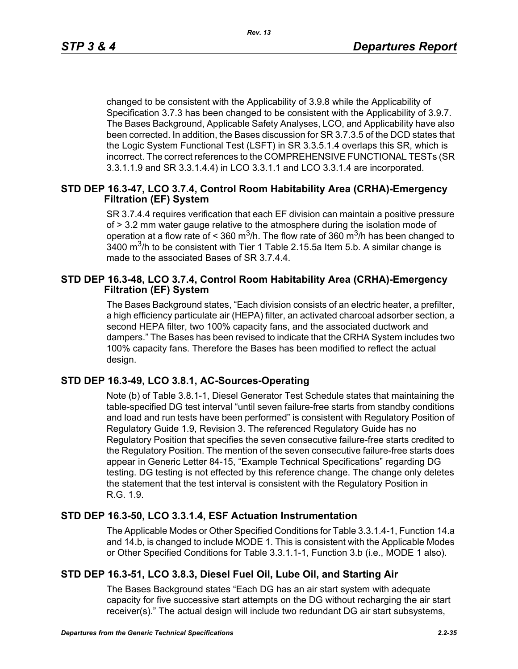changed to be consistent with the Applicability of 3.9.8 while the Applicability of Specification 3.7.3 has been changed to be consistent with the Applicability of 3.9.7. The Bases Background, Applicable Safety Analyses, LCO, and Applicability have also been corrected. In addition, the Bases discussion for SR 3.7.3.5 of the DCD states that the Logic System Functional Test (LSFT) in SR 3.3.5.1.4 overlaps this SR, which is incorrect. The correct references to the COMPREHENSIVE FUNCTIONAL TESTs (SR 3.3.1.1.9 and SR 3.3.1.4.4) in LCO 3.3.1.1 and LCO 3.3.1.4 are incorporated.

## **STD DEP 16.3-47, LCO 3.7.4, Control Room Habitability Area (CRHA)-Emergency Filtration (EF) System**

SR 3.7.4.4 requires verification that each EF division can maintain a positive pressure of > 3.2 mm water gauge relative to the atmosphere during the isolation mode of operation at a flow rate of < 360 m<sup>3</sup>/h. The flow rate of 360 m<sup>3</sup>/h has been changed to  $3400$  m<sup>3</sup>/h to be consistent with Tier 1 Table 2.15.5a Item 5.b. A similar change is made to the associated Bases of SR 3.7.4.4.

## **STD DEP 16.3-48, LCO 3.7.4, Control Room Habitability Area (CRHA)-Emergency Filtration (EF) System**

The Bases Background states, "Each division consists of an electric heater, a prefilter, a high efficiency particulate air (HEPA) filter, an activated charcoal adsorber section, a second HEPA filter, two 100% capacity fans, and the associated ductwork and dampers." The Bases has been revised to indicate that the CRHA System includes two 100% capacity fans. Therefore the Bases has been modified to reflect the actual design.

## **STD DEP 16.3-49, LCO 3.8.1, AC-Sources-Operating**

Note (b) of Table 3.8.1-1, Diesel Generator Test Schedule states that maintaining the table-specified DG test interval "until seven failure-free starts from standby conditions and load and run tests have been performed" is consistent with Regulatory Position of Regulatory Guide 1.9, Revision 3. The referenced Regulatory Guide has no Regulatory Position that specifies the seven consecutive failure-free starts credited to the Regulatory Position. The mention of the seven consecutive failure-free starts does appear in Generic Letter 84-15, "Example Technical Specifications" regarding DG testing. DG testing is not effected by this reference change. The change only deletes the statement that the test interval is consistent with the Regulatory Position in R.G. 1.9.

## **STD DEP 16.3-50, LCO 3.3.1.4, ESF Actuation Instrumentation**

The Applicable Modes or Other Specified Conditions for Table 3.3.1.4-1, Function 14.a and 14.b, is changed to include MODE 1. This is consistent with the Applicable Modes or Other Specified Conditions for Table 3.3.1.1-1, Function 3.b (i.e., MODE 1 also).

## **STD DEP 16.3-51, LCO 3.8.3, Diesel Fuel Oil, Lube Oil, and Starting Air**

The Bases Background states "Each DG has an air start system with adequate capacity for five successive start attempts on the DG without recharging the air start receiver(s)." The actual design will include two redundant DG air start subsystems,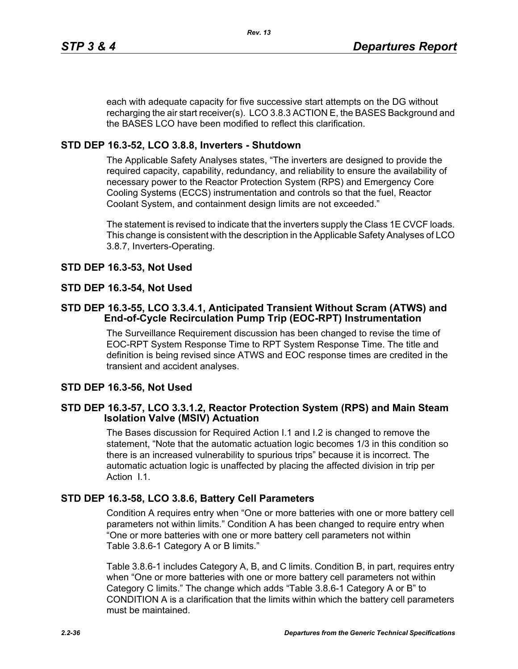each with adequate capacity for five successive start attempts on the DG without recharging the air start receiver(s). LCO 3.8.3 ACTION E, the BASES Background and the BASES LCO have been modified to reflect this clarification.

# **STD DEP 16.3-52, LCO 3.8.8, Inverters - Shutdown**

The Applicable Safety Analyses states, "The inverters are designed to provide the required capacity, capability, redundancy, and reliability to ensure the availability of necessary power to the Reactor Protection System (RPS) and Emergency Core Cooling Systems (ECCS) instrumentation and controls so that the fuel, Reactor Coolant System, and containment design limits are not exceeded."

The statement is revised to indicate that the inverters supply the Class 1E CVCF loads. This change is consistent with the description in the Applicable Safety Analyses of LCO 3.8.7, Inverters-Operating.

## **STD DEP 16.3-53, Not Used**

## **STD DEP 16.3-54, Not Used**

## **STD DEP 16.3-55, LCO 3.3.4.1, Anticipated Transient Without Scram (ATWS) and End-of-Cycle Recirculation Pump Trip (EOC-RPT) Instrumentation**

The Surveillance Requirement discussion has been changed to revise the time of EOC-RPT System Response Time to RPT System Response Time. The title and definition is being revised since ATWS and EOC response times are credited in the transient and accident analyses.

## **STD DEP 16.3-56, Not Used**

## **STD DEP 16.3-57, LCO 3.3.1.2, Reactor Protection System (RPS) and Main Steam Isolation Valve (MSIV) Actuation**

The Bases discussion for Required Action I.1 and I.2 is changed to remove the statement, "Note that the automatic actuation logic becomes 1/3 in this condition so there is an increased vulnerability to spurious trips" because it is incorrect. The automatic actuation logic is unaffected by placing the affected division in trip per Action I.1.

## **STD DEP 16.3-58, LCO 3.8.6, Battery Cell Parameters**

Condition A requires entry when "One or more batteries with one or more battery cell parameters not within limits." Condition A has been changed to require entry when "One or more batteries with one or more battery cell parameters not within Table 3.8.6-1 Category A or B limits."

Table 3.8.6-1 includes Category A, B, and C limits. Condition B, in part, requires entry when "One or more batteries with one or more battery cell parameters not within Category C limits." The change which adds "Table 3.8.6-1 Category A or B" to CONDITION A is a clarification that the limits within which the battery cell parameters must be maintained.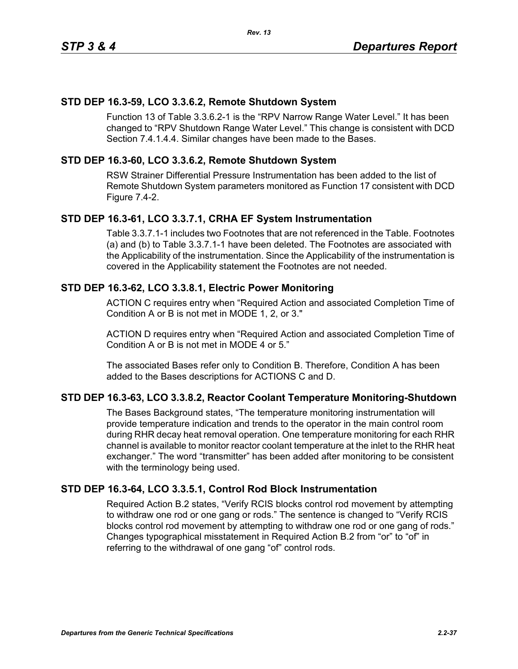## **STD DEP 16.3-59, LCO 3.3.6.2, Remote Shutdown System**

Function 13 of Table 3.3.6.2-1 is the "RPV Narrow Range Water Level." It has been changed to "RPV Shutdown Range Water Level." This change is consistent with DCD Section 7.4.1.4.4. Similar changes have been made to the Bases.

## **STD DEP 16.3-60, LCO 3.3.6.2, Remote Shutdown System**

RSW Strainer Differential Pressure Instrumentation has been added to the list of Remote Shutdown System parameters monitored as Function 17 consistent with DCD Figure 7.4-2.

## **STD DEP 16.3-61, LCO 3.3.7.1, CRHA EF System Instrumentation**

Table 3.3.7.1-1 includes two Footnotes that are not referenced in the Table. Footnotes (a) and (b) to Table 3.3.7.1-1 have been deleted. The Footnotes are associated with the Applicability of the instrumentation. Since the Applicability of the instrumentation is covered in the Applicability statement the Footnotes are not needed.

## **STD DEP 16.3-62, LCO 3.3.8.1, Electric Power Monitoring**

ACTION C requires entry when "Required Action and associated Completion Time of Condition A or B is not met in MODE 1, 2, or 3."

ACTION D requires entry when "Required Action and associated Completion Time of Condition A or B is not met in MODE 4 or 5."

The associated Bases refer only to Condition B. Therefore, Condition A has been added to the Bases descriptions for ACTIONS C and D.

## **STD DEP 16.3-63, LCO 3.3.8.2, Reactor Coolant Temperature Monitoring-Shutdown**

The Bases Background states, "The temperature monitoring instrumentation will provide temperature indication and trends to the operator in the main control room during RHR decay heat removal operation. One temperature monitoring for each RHR channel is available to monitor reactor coolant temperature at the inlet to the RHR heat exchanger." The word "transmitter" has been added after monitoring to be consistent with the terminology being used.

## **STD DEP 16.3-64, LCO 3.3.5.1, Control Rod Block Instrumentation**

Required Action B.2 states, "Verify RCIS blocks control rod movement by attempting to withdraw one rod or one gang or rods." The sentence is changed to "Verify RCIS blocks control rod movement by attempting to withdraw one rod or one gang of rods." Changes typographical misstatement in Required Action B.2 from "or" to "of" in referring to the withdrawal of one gang "of" control rods.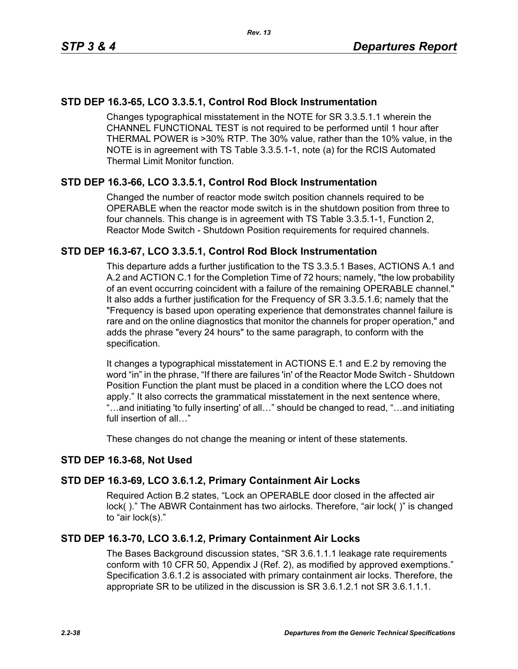# **STD DEP 16.3-65, LCO 3.3.5.1, Control Rod Block Instrumentation**

Changes typographical misstatement in the NOTE for SR 3.3.5.1.1 wherein the CHANNEL FUNCTIONAL TEST is not required to be performed until 1 hour after THERMAL POWER is >30% RTP. The 30% value, rather than the 10% value, in the NOTE is in agreement with TS Table 3.3.5.1-1, note (a) for the RCIS Automated Thermal Limit Monitor function.

## **STD DEP 16.3-66, LCO 3.3.5.1, Control Rod Block Instrumentation**

Changed the number of reactor mode switch position channels required to be OPERABLE when the reactor mode switch is in the shutdown position from three to four channels. This change is in agreement with TS Table 3.3.5.1-1, Function 2, Reactor Mode Switch - Shutdown Position requirements for required channels.

## **STD DEP 16.3-67, LCO 3.3.5.1, Control Rod Block Instrumentation**

This departure adds a further justification to the TS 3.3.5.1 Bases, ACTIONS A.1 and A.2 and ACTION C.1 for the Completion Time of 72 hours; namely, "the low probability of an event occurring coincident with a failure of the remaining OPERABLE channel." It also adds a further justification for the Frequency of SR 3.3.5.1.6; namely that the "Frequency is based upon operating experience that demonstrates channel failure is rare and on the online diagnostics that monitor the channels for proper operation," and adds the phrase "every 24 hours" to the same paragraph, to conform with the specification.

It changes a typographical misstatement in ACTIONS E.1 and E.2 by removing the word "in" in the phrase, "If there are failures 'in' of the Reactor Mode Switch - Shutdown Position Function the plant must be placed in a condition where the LCO does not apply." It also corrects the grammatical misstatement in the next sentence where, "…and initiating 'to fully inserting' of all…" should be changed to read, "…and initiating full insertion of all…"

These changes do not change the meaning or intent of these statements.

## **STD DEP 16.3-68, Not Used**

## **STD DEP 16.3-69, LCO 3.6.1.2, Primary Containment Air Locks**

Required Action B.2 states, "Lock an OPERABLE door closed in the affected air lock( )." The ABWR Containment has two airlocks. Therefore, "air lock( )" is changed to "air lock(s)."

## **STD DEP 16.3-70, LCO 3.6.1.2, Primary Containment Air Locks**

The Bases Background discussion states, "SR 3.6.1.1.1 leakage rate requirements conform with 10 CFR 50, Appendix J (Ref. 2), as modified by approved exemptions." Specification 3.6.1.2 is associated with primary containment air locks. Therefore, the appropriate SR to be utilized in the discussion is SR 3.6.1.2.1 not SR 3.6.1.1.1.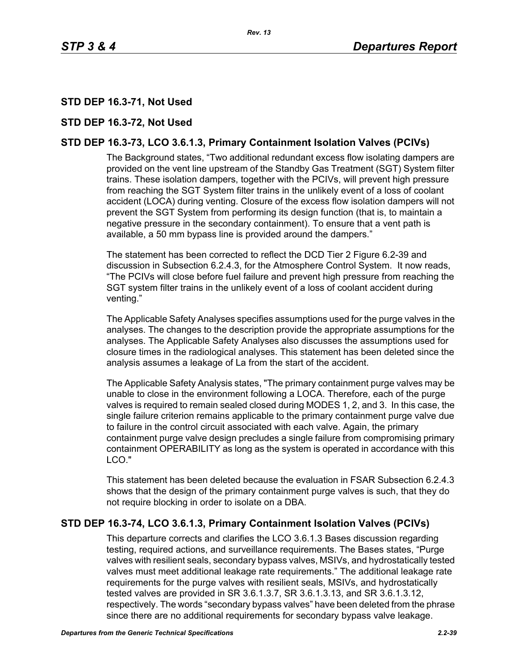# **STD DEP 16.3-71, Not Used**

## **STD DEP 16.3-72, Not Used**

# **STD DEP 16.3-73, LCO 3.6.1.3, Primary Containment Isolation Valves (PCIVs)**

The Background states, "Two additional redundant excess flow isolating dampers are provided on the vent line upstream of the Standby Gas Treatment (SGT) System filter trains. These isolation dampers, together with the PCIVs, will prevent high pressure from reaching the SGT System filter trains in the unlikely event of a loss of coolant accident (LOCA) during venting. Closure of the excess flow isolation dampers will not prevent the SGT System from performing its design function (that is, to maintain a negative pressure in the secondary containment). To ensure that a vent path is available, a 50 mm bypass line is provided around the dampers."

The statement has been corrected to reflect the DCD Tier 2 Figure 6.2-39 and discussion in Subsection 6.2.4.3, for the Atmosphere Control System. It now reads, "The PCIVs will close before fuel failure and prevent high pressure from reaching the SGT system filter trains in the unlikely event of a loss of coolant accident during venting."

The Applicable Safety Analyses specifies assumptions used for the purge valves in the analyses. The changes to the description provide the appropriate assumptions for the analyses. The Applicable Safety Analyses also discusses the assumptions used for closure times in the radiological analyses. This statement has been deleted since the analysis assumes a leakage of La from the start of the accident.

The Applicable Safety Analysis states, "The primary containment purge valves may be unable to close in the environment following a LOCA. Therefore, each of the purge valves is required to remain sealed closed during MODES 1, 2, and 3. In this case, the single failure criterion remains applicable to the primary containment purge valve due to failure in the control circuit associated with each valve. Again, the primary containment purge valve design precludes a single failure from compromising primary containment OPERABILITY as long as the system is operated in accordance with this LCO."

This statement has been deleted because the evaluation in FSAR Subsection 6.2.4.3 shows that the design of the primary containment purge valves is such, that they do not require blocking in order to isolate on a DBA.

## **STD DEP 16.3-74, LCO 3.6.1.3, Primary Containment Isolation Valves (PCIVs)**

This departure corrects and clarifies the LCO 3.6.1.3 Bases discussion regarding testing, required actions, and surveillance requirements. The Bases states, "Purge valves with resilient seals, secondary bypass valves, MSIVs, and hydrostatically tested valves must meet additional leakage rate requirements." The additional leakage rate requirements for the purge valves with resilient seals, MSIVs, and hydrostatically tested valves are provided in SR 3.6.1.3.7, SR 3.6.1.3.13, and SR 3.6.1.3.12, respectively. The words "secondary bypass valves" have been deleted from the phrase since there are no additional requirements for secondary bypass valve leakage.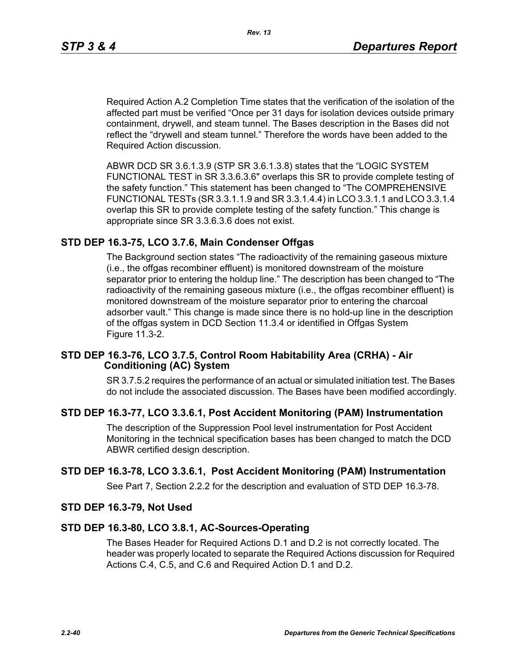Required Action A.2 Completion Time states that the verification of the isolation of the affected part must be verified "Once per 31 days for isolation devices outside primary containment, drywell, and steam tunnel. The Bases description in the Bases did not reflect the "drywell and steam tunnel." Therefore the words have been added to the Required Action discussion.

ABWR DCD SR 3.6.1.3.9 (STP SR 3.6.1.3.8) states that the "LOGIC SYSTEM FUNCTIONAL TEST in SR 3.3.6.3.6" overlaps this SR to provide complete testing of the safety function." This statement has been changed to "The COMPREHENSIVE FUNCTIONAL TESTs (SR 3.3.1.1.9 and SR 3.3.1.4.4) in LCO 3.3.1.1 and LCO 3.3.1.4 overlap this SR to provide complete testing of the safety function." This change is appropriate since SR 3.3.6.3.6 does not exist.

## **STD DEP 16.3-75, LCO 3.7.6, Main Condenser Offgas**

The Background section states "The radioactivity of the remaining gaseous mixture (i.e., the offgas recombiner effluent) is monitored downstream of the moisture separator prior to entering the holdup line." The description has been changed to "The radioactivity of the remaining gaseous mixture (i.e., the offgas recombiner effluent) is monitored downstream of the moisture separator prior to entering the charcoal adsorber vault." This change is made since there is no hold-up line in the description of the offgas system in DCD Section 11.3.4 or identified in Offgas System Figure 11.3-2.

## **STD DEP 16.3-76, LCO 3.7.5, Control Room Habitability Area (CRHA) - Air Conditioning (AC) System**

SR 3.7.5.2 requires the performance of an actual or simulated initiation test. The Bases do not include the associated discussion. The Bases have been modified accordingly.

## **STD DEP 16.3-77, LCO 3.3.6.1, Post Accident Monitoring (PAM) Instrumentation**

The description of the Suppression Pool level instrumentation for Post Accident Monitoring in the technical specification bases has been changed to match the DCD ABWR certified design description.

## **STD DEP 16.3-78, LCO 3.3.6.1, Post Accident Monitoring (PAM) Instrumentation**

See Part 7, Section 2.2.2 for the description and evaluation of STD DEP 16.3-78.

## **STD DEP 16.3-79, Not Used**

## **STD DEP 16.3-80, LCO 3.8.1, AC-Sources-Operating**

The Bases Header for Required Actions D.1 and D.2 is not correctly located. The header was properly located to separate the Required Actions discussion for Required Actions C.4, C.5, and C.6 and Required Action D.1 and D.2.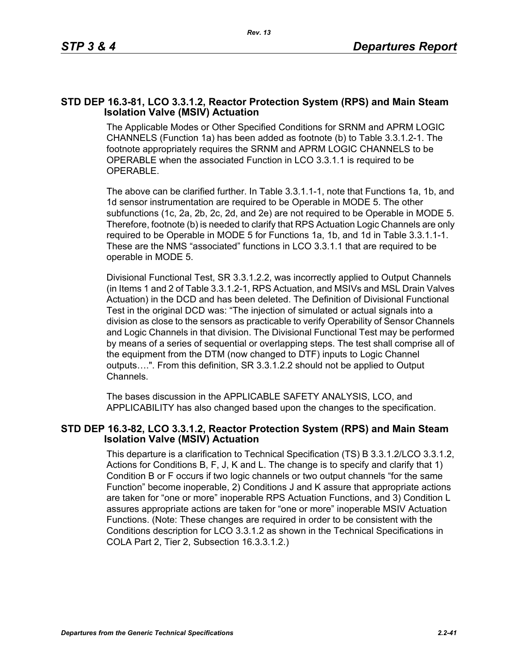## **STD DEP 16.3-81, LCO 3.3.1.2, Reactor Protection System (RPS) and Main Steam Isolation Valve (MSIV) Actuation**

The Applicable Modes or Other Specified Conditions for SRNM and APRM LOGIC CHANNELS (Function 1a) has been added as footnote (b) to Table 3.3.1.2-1. The footnote appropriately requires the SRNM and APRM LOGIC CHANNELS to be OPERABLE when the associated Function in LCO 3.3.1.1 is required to be OPERABLE.

The above can be clarified further. In Table 3.3.1.1-1, note that Functions 1a, 1b, and 1d sensor instrumentation are required to be Operable in MODE 5. The other subfunctions (1c, 2a, 2b, 2c, 2d, and 2e) are not required to be Operable in MODE 5. Therefore, footnote (b) is needed to clarify that RPS Actuation Logic Channels are only required to be Operable in MODE 5 for Functions 1a, 1b, and 1d in Table 3.3.1.1-1. These are the NMS "associated" functions in LCO 3.3.1.1 that are required to be operable in MODE 5.

Divisional Functional Test, SR 3.3.1.2.2, was incorrectly applied to Output Channels (in Items 1 and 2 of Table 3.3.1.2-1, RPS Actuation, and MSIVs and MSL Drain Valves Actuation) in the DCD and has been deleted. The Definition of Divisional Functional Test in the original DCD was: "The injection of simulated or actual signals into a division as close to the sensors as practicable to verify Operability of Sensor Channels and Logic Channels in that division. The Divisional Functional Test may be performed by means of a series of sequential or overlapping steps. The test shall comprise all of the equipment from the DTM (now changed to DTF) inputs to Logic Channel outputs….". From this definition, SR 3.3.1.2.2 should not be applied to Output Channels.

The bases discussion in the APPLICABLE SAFETY ANALYSIS, LCO, and APPLICABILITY has also changed based upon the changes to the specification.

## **STD DEP 16.3-82, LCO 3.3.1.2, Reactor Protection System (RPS) and Main Steam Isolation Valve (MSIV) Actuation**

This departure is a clarification to Technical Specification (TS) B 3.3.1.2/LCO 3.3.1.2, Actions for Conditions B, F, J, K and L. The change is to specify and clarify that 1) Condition B or F occurs if two logic channels or two output channels "for the same Function" become inoperable, 2) Conditions J and K assure that appropriate actions are taken for "one or more" inoperable RPS Actuation Functions, and 3) Condition L assures appropriate actions are taken for "one or more" inoperable MSIV Actuation Functions. (Note: These changes are required in order to be consistent with the Conditions description for LCO 3.3.1.2 as shown in the Technical Specifications in COLA Part 2, Tier 2, Subsection 16.3.3.1.2.)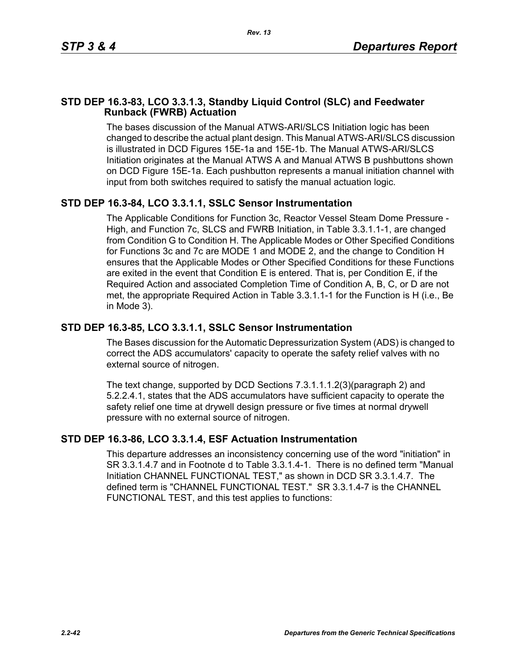## **STD DEP 16.3-83, LCO 3.3.1.3, Standby Liquid Control (SLC) and Feedwater Runback (FWRB) Actuation**

The bases discussion of the Manual ATWS-ARI/SLCS Initiation logic has been changed to describe the actual plant design. This Manual ATWS-ARI/SLCS discussion is illustrated in DCD Figures 15E-1a and 15E-1b. The Manual ATWS-ARI/SLCS Initiation originates at the Manual ATWS A and Manual ATWS B pushbuttons shown on DCD Figure 15E-1a. Each pushbutton represents a manual initiation channel with input from both switches required to satisfy the manual actuation logic.

# **STD DEP 16.3-84, LCO 3.3.1.1, SSLC Sensor Instrumentation**

The Applicable Conditions for Function 3c, Reactor Vessel Steam Dome Pressure - High, and Function 7c, SLCS and FWRB Initiation, in Table 3.3.1.1-1, are changed from Condition G to Condition H. The Applicable Modes or Other Specified Conditions for Functions 3c and 7c are MODE 1 and MODE 2, and the change to Condition H ensures that the Applicable Modes or Other Specified Conditions for these Functions are exited in the event that Condition E is entered. That is, per Condition E, if the Required Action and associated Completion Time of Condition A, B, C, or D are not met, the appropriate Required Action in Table 3.3.1.1-1 for the Function is H (i.e., Be in Mode 3).

## **STD DEP 16.3-85, LCO 3.3.1.1, SSLC Sensor Instrumentation**

The Bases discussion for the Automatic Depressurization System (ADS) is changed to correct the ADS accumulators' capacity to operate the safety relief valves with no external source of nitrogen.

The text change, supported by DCD Sections 7.3.1.1.1.2(3)(paragraph 2) and 5.2.2.4.1, states that the ADS accumulators have sufficient capacity to operate the safety relief one time at drywell design pressure or five times at normal drywell pressure with no external source of nitrogen.

## **STD DEP 16.3-86, LCO 3.3.1.4, ESF Actuation Instrumentation**

This departure addresses an inconsistency concerning use of the word "initiation" in SR 3.3.1.4.7 and in Footnote d to Table 3.3.1.4-1. There is no defined term "Manual Initiation CHANNEL FUNCTIONAL TEST," as shown in DCD SR 3.3.1.4.7. The defined term is "CHANNEL FUNCTIONAL TEST." SR 3.3.1.4-7 is the CHANNEL FUNCTIONAL TEST, and this test applies to functions: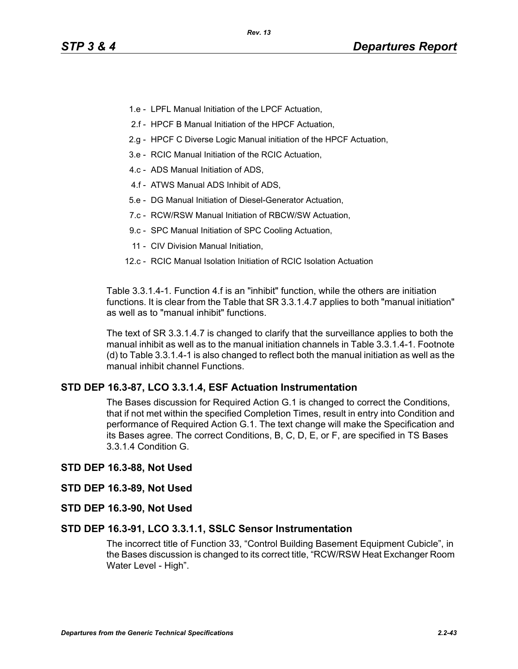- 1.e LPFL Manual Initiation of the LPCF Actuation,
- 2.f HPCF B Manual Initiation of the HPCF Actuation,
- 2.g HPCF C Diverse Logic Manual initiation of the HPCF Actuation,
- 3.e RCIC Manual Initiation of the RCIC Actuation,
- 4.c ADS Manual Initiation of ADS,
- 4.f ATWS Manual ADS Inhibit of ADS,
- 5.e DG Manual Initiation of Diesel-Generator Actuation,
- 7.c RCW/RSW Manual Initiation of RBCW/SW Actuation,
- 9.c SPC Manual Initiation of SPC Cooling Actuation,
- 11 CIV Division Manual Initiation,
- 12.c RCIC Manual Isolation Initiation of RCIC Isolation Actuation

Table 3.3.1.4-1. Function 4.f is an "inhibit" function, while the others are initiation functions. It is clear from the Table that SR 3.3.1.4.7 applies to both "manual initiation" as well as to "manual inhibit" functions.

The text of SR 3.3.1.4.7 is changed to clarify that the surveillance applies to both the manual inhibit as well as to the manual initiation channels in Table 3.3.1.4-1. Footnote (d) to Table 3.3.1.4-1 is also changed to reflect both the manual initiation as well as the manual inhibit channel Functions.

## **STD DEP 16.3-87, LCO 3.3.1.4, ESF Actuation Instrumentation**

The Bases discussion for Required Action G.1 is changed to correct the Conditions, that if not met within the specified Completion Times, result in entry into Condition and performance of Required Action G.1. The text change will make the Specification and its Bases agree. The correct Conditions, B, C, D, E, or F, are specified in TS Bases 3.3.1.4 Condition G.

#### **STD DEP 16.3-88, Not Used**

#### **STD DEP 16.3-89, Not Used**

**STD DEP 16.3-90, Not Used**

#### **STD DEP 16.3-91, LCO 3.3.1.1, SSLC Sensor Instrumentation**

The incorrect title of Function 33, "Control Building Basement Equipment Cubicle", in the Bases discussion is changed to its correct title, "RCW/RSW Heat Exchanger Room Water Level - High".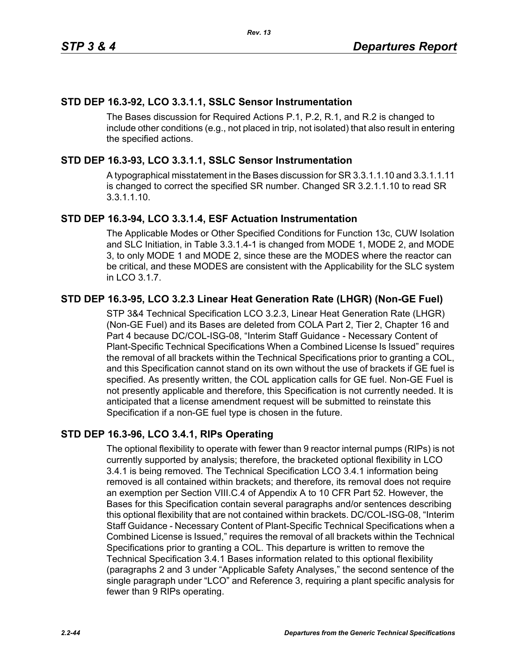# **STD DEP 16.3-92, LCO 3.3.1.1, SSLC Sensor Instrumentation**

The Bases discussion for Required Actions P.1, P.2, R.1, and R.2 is changed to include other conditions (e.g., not placed in trip, not isolated) that also result in entering the specified actions.

# **STD DEP 16.3-93, LCO 3.3.1.1, SSLC Sensor Instrumentation**

A typographical misstatement in the Bases discussion for SR 3.3.1.1.10 and 3.3.1.1.11 is changed to correct the specified SR number. Changed SR 3.2.1.1.10 to read SR 3.3.1.1.10.

## **STD DEP 16.3-94, LCO 3.3.1.4, ESF Actuation Instrumentation**

The Applicable Modes or Other Specified Conditions for Function 13c, CUW Isolation and SLC Initiation, in Table 3.3.1.4-1 is changed from MODE 1, MODE 2, and MODE 3, to only MODE 1 and MODE 2, since these are the MODES where the reactor can be critical, and these MODES are consistent with the Applicability for the SLC system in LCO 3.1.7.

# **STD DEP 16.3-95, LCO 3.2.3 Linear Heat Generation Rate (LHGR) (Non-GE Fuel)**

STP 3&4 Technical Specification LCO 3.2.3, Linear Heat Generation Rate (LHGR) (Non-GE Fuel) and its Bases are deleted from COLA Part 2, Tier 2, Chapter 16 and Part 4 because DC/COL-ISG-08, "Interim Staff Guidance - Necessary Content of Plant-Specific Technical Specifications When a Combined License Is Issued" requires the removal of all brackets within the Technical Specifications prior to granting a COL, and this Specification cannot stand on its own without the use of brackets if GE fuel is specified. As presently written, the COL application calls for GE fuel. Non-GE Fuel is not presently applicable and therefore, this Specification is not currently needed. It is anticipated that a license amendment request will be submitted to reinstate this Specification if a non-GE fuel type is chosen in the future.

# **STD DEP 16.3-96, LCO 3.4.1, RIPs Operating**

The optional flexibility to operate with fewer than 9 reactor internal pumps (RIPs) is not currently supported by analysis; therefore, the bracketed optional flexibility in LCO 3.4.1 is being removed. The Technical Specification LCO 3.4.1 information being removed is all contained within brackets; and therefore, its removal does not require an exemption per Section VIII.C.4 of Appendix A to 10 CFR Part 52. However, the Bases for this Specification contain several paragraphs and/or sentences describing this optional flexibility that are not contained within brackets. DC/COL-ISG-08, "Interim Staff Guidance - Necessary Content of Plant-Specific Technical Specifications when a Combined License is Issued," requires the removal of all brackets within the Technical Specifications prior to granting a COL. This departure is written to remove the Technical Specification 3.4.1 Bases information related to this optional flexibility (paragraphs 2 and 3 under "Applicable Safety Analyses," the second sentence of the single paragraph under "LCO" and Reference 3, requiring a plant specific analysis for fewer than 9 RIPs operating.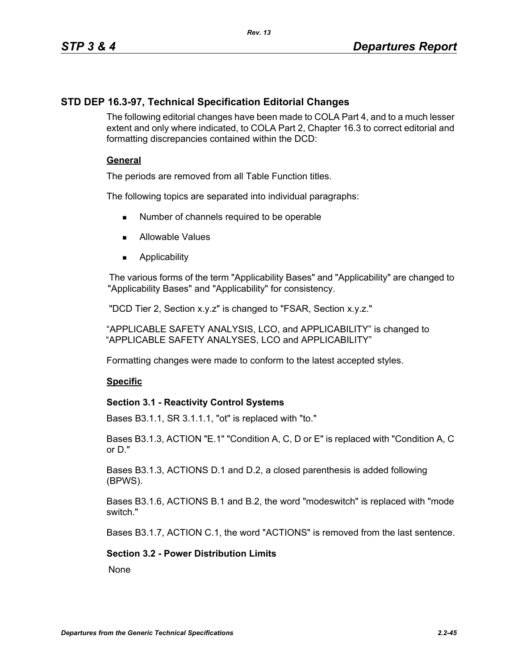# **STD DEP 16.3-97, Technical Specification Editorial Changes**

The following editorial changes have been made to COLA Part 4, and to a much lesser extent and only where indicated, to COLA Part 2, Chapter 16.3 to correct editorial and formatting discrepancies contained within the DCD:

## **General**

The periods are removed from all Table Function titles.

The following topics are separated into individual paragraphs:

- Number of channels required to be operable
- **Allowable Values**
- **Applicability**

The various forms of the term "Applicability Bases" and "Applicability" are changed to "Applicability Bases" and "Applicability" for consistency.

"DCD Tier 2, Section x.y.z" is changed to "FSAR, Section x.y.z."

"APPLICABLE SAFETY ANALYSIS, LCO, and APPLICABILITY" is changed to "APPLICABLE SAFETY ANALYSES, LCO and APPLICABILITY"

Formatting changes were made to conform to the latest accepted styles.

## **Specific**

## **Section 3.1 - Reactivity Control Systems**

Bases B3.1.1, SR 3.1.1.1, "ot" is replaced with "to."

Bases B3.1.3, ACTION "E.1" "Condition A, C, D or E" is replaced with "Condition A, C or D."

Bases B3.1.3, ACTIONS D.1 and D.2, a closed parenthesis is added following (BPWS).

Bases B3.1.6, ACTIONS B.1 and B.2, the word "modeswitch" is replaced with "mode switch."

Bases B3.1.7, ACTION C.1, the word "ACTIONS" is removed from the last sentence.

## **Section 3.2 - Power Distribution Limits**

**None**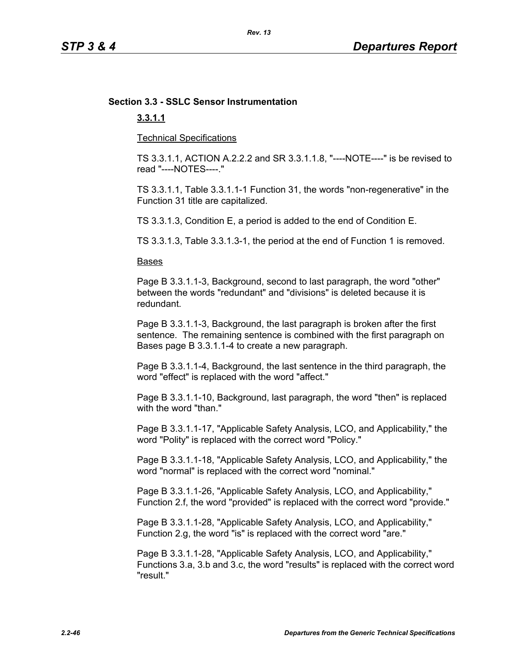#### *Rev. 13*

# **Section 3.3 - SSLC Sensor Instrumentation**

## **3.3.1.1**

Technical Specifications

TS 3.3.1.1, ACTION A.2.2.2 and SR 3.3.1.1.8, "----NOTE----" is be revised to read "----NOTES----."

TS 3.3.1.1, Table 3.3.1.1-1 Function 31, the words "non-regenerative" in the Function 31 title are capitalized.

TS 3.3.1.3, Condition E, a period is added to the end of Condition E.

TS 3.3.1.3, Table 3.3.1.3-1, the period at the end of Function 1 is removed.

#### Bases

Page B 3.3.1.1-3, Background, second to last paragraph, the word "other" between the words "redundant" and "divisions" is deleted because it is redundant.

Page B 3.3.1.1-3, Background, the last paragraph is broken after the first sentence. The remaining sentence is combined with the first paragraph on Bases page B 3.3.1.1-4 to create a new paragraph.

Page B 3.3.1.1-4, Background, the last sentence in the third paragraph, the word "effect" is replaced with the word "affect."

Page B 3.3.1.1-10, Background, last paragraph, the word "then" is replaced with the word "than."

Page B 3.3.1.1-17, "Applicable Safety Analysis, LCO, and Applicability," the word "Polity" is replaced with the correct word "Policy."

Page B 3.3.1.1-18, "Applicable Safety Analysis, LCO, and Applicability," the word "normal" is replaced with the correct word "nominal."

Page B 3.3.1.1-26, "Applicable Safety Analysis, LCO, and Applicability," Function 2.f, the word "provided" is replaced with the correct word "provide."

Page B 3.3.1.1-28, "Applicable Safety Analysis, LCO, and Applicability," Function 2.g, the word "is" is replaced with the correct word "are."

Page B 3.3.1.1-28, "Applicable Safety Analysis, LCO, and Applicability," Functions 3.a, 3.b and 3.c, the word "results" is replaced with the correct word "result."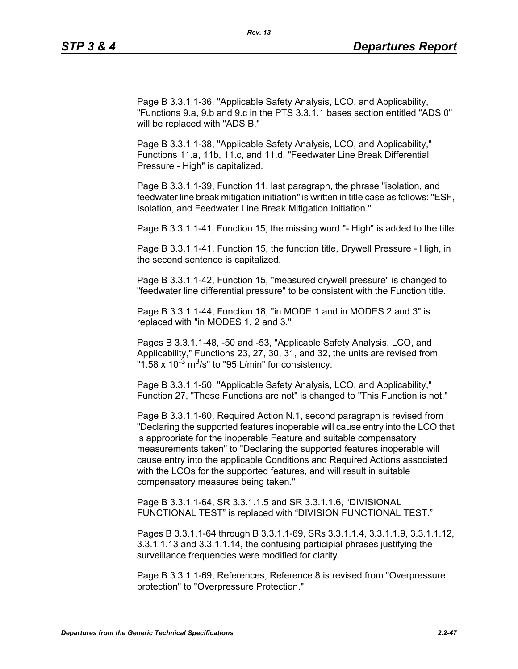Page B 3.3.1.1-36, "Applicable Safety Analysis, LCO, and Applicability, "Functions 9.a, 9.b and 9.c in the PTS 3.3.1.1 bases section entitled "ADS 0" will be replaced with "ADS B."

Page B 3.3.1.1-38, "Applicable Safety Analysis, LCO, and Applicability," Functions 11.a, 11b, 11.c, and 11.d, "Feedwater Line Break Differential Pressure - High" is capitalized.

Page B 3.3.1.1-39, Function 11, last paragraph, the phrase "isolation, and feedwater line break mitigation initiation" is written in title case as follows: "ESF, Isolation, and Feedwater Line Break Mitigation Initiation."

Page B 3.3.1.1-41, Function 15, the missing word "- High" is added to the title.

Page B 3.3.1.1-41, Function 15, the function title, Drywell Pressure - High, in the second sentence is capitalized.

Page B 3.3.1.1-42, Function 15, "measured drywell pressure" is changed to "feedwater line differential pressure" to be consistent with the Function title.

Page B 3.3.1.1-44, Function 18, "in MODE 1 and in MODES 2 and 3" is replaced with "in MODES 1, 2 and 3."

Pages B 3.3.1.1-48, -50 and -53, "Applicable Safety Analysis, LCO, and Applicability," Functions 23, 27, 30, 31, and 32, the units are revised from "1.58 x 10<sup>-3</sup> m<sup>3</sup>/s" to "95 L/min" for consistency.

Page B 3.3.1.1-50, "Applicable Safety Analysis, LCO, and Applicability," Function 27, "These Functions are not" is changed to "This Function is not."

Page B 3.3.1.1-60, Required Action N.1, second paragraph is revised from "Declaring the supported features inoperable will cause entry into the LCO that is appropriate for the inoperable Feature and suitable compensatory measurements taken" to "Declaring the supported features inoperable will cause entry into the applicable Conditions and Required Actions associated with the LCOs for the supported features, and will result in suitable compensatory measures being taken."

Page B 3.3.1.1-64, SR 3.3.1.1.5 and SR 3.3.1.1.6, "DIVISIONAL FUNCTIONAL TEST" is replaced with "DIVISION FUNCTIONAL TEST."

Pages B 3.3.1.1-64 through B 3.3.1.1-69, SRs 3.3.1.1.4, 3.3.1.1.9, 3.3.1.1.12, 3.3.1.1.13 and 3.3.1.1.14, the confusing participial phrases justifying the surveillance frequencies were modified for clarity.

Page B 3.3.1.1-69, References, Reference 8 is revised from "Overpressure protection" to "Overpressure Protection."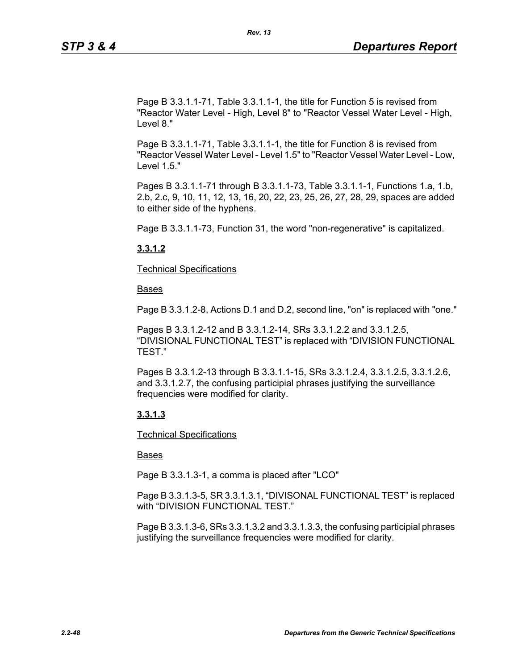Page B 3.3.1.1-71, Table 3.3.1.1-1, the title for Function 5 is revised from "Reactor Water Level - High, Level 8" to "Reactor Vessel Water Level - High, Level 8."

Page B 3.3.1.1-71, Table 3.3.1.1-1, the title for Function 8 is revised from "Reactor Vessel Water Level - Level 1.5" to "Reactor Vessel Water Level - Low, Level 1.5."

Pages B 3.3.1.1-71 through B 3.3.1.1-73, Table 3.3.1.1-1, Functions 1.a, 1.b, 2.b, 2.c, 9, 10, 11, 12, 13, 16, 20, 22, 23, 25, 26, 27, 28, 29, spaces are added to either side of the hyphens.

Page B 3.3.1.1-73, Function 31, the word "non-regenerative" is capitalized.

## **3.3.1.2**

Technical Specifications

Bases

Page B 3.3.1.2-8, Actions D.1 and D.2, second line, "on" is replaced with "one."

Pages B 3.3.1.2-12 and B 3.3.1.2-14, SRs 3.3.1.2.2 and 3.3.1.2.5, "DIVISIONAL FUNCTIONAL TEST" is replaced with "DIVISION FUNCTIONAL TEST."

Pages B 3.3.1.2-13 through B 3.3.1.1-15, SRs 3.3.1.2.4, 3.3.1.2.5, 3.3.1.2.6, and 3.3.1.2.7, the confusing participial phrases justifying the surveillance frequencies were modified for clarity.

## **3.3.1.3**

Technical Specifications

## Bases

Page B 3.3.1.3-1, a comma is placed after "LCO"

Page B 3.3.1.3-5, SR 3.3.1.3.1, "DIVISONAL FUNCTIONAL TEST" is replaced with "DIVISION FUNCTIONAL TEST."

Page B 3.3.1.3-6, SRs 3.3.1.3.2 and 3.3.1.3.3, the confusing participial phrases justifying the surveillance frequencies were modified for clarity.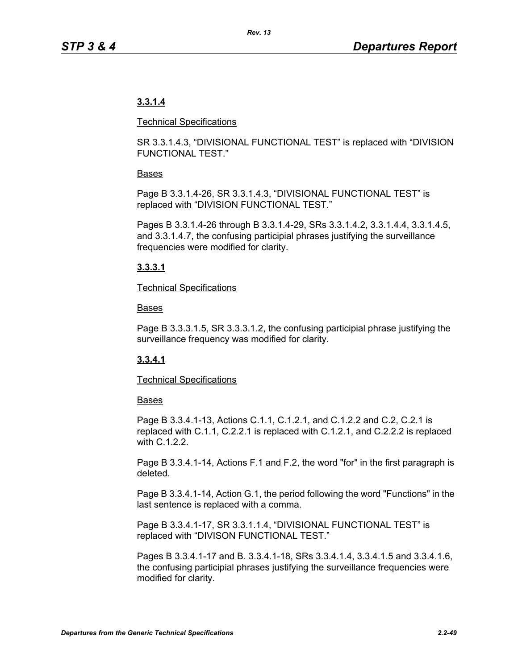# **3.3.1.4**

#### Technical Specifications

SR 3.3.1.4.3, "DIVISIONAL FUNCTIONAL TEST" is replaced with "DIVISION FUNCTIONAL TEST."

## Bases

Page B 3.3.1.4-26, SR 3.3.1.4.3, "DIVISIONAL FUNCTIONAL TEST" is replaced with "DIVISION FUNCTIONAL TEST."

Pages B 3.3.1.4-26 through B 3.3.1.4-29, SRs 3.3.1.4.2, 3.3.1.4.4, 3.3.1.4.5, and 3.3.1.4.7, the confusing participial phrases justifying the surveillance frequencies were modified for clarity.

## **3.3.3.1**

## Technical Specifications

## Bases

Page B 3.3.3.1.5, SR 3.3.3.1.2, the confusing participial phrase justifying the surveillance frequency was modified for clarity.

## **3.3.4.1**

## Technical Specifications

## Bases

Page B 3.3.4.1-13, Actions C.1.1, C.1.2.1, and C.1.2.2 and C.2, C.2.1 is replaced with C.1.1, C.2.2.1 is replaced with C.1.2.1, and C.2.2.2 is replaced with C.1.2.2.

Page B 3.3.4.1-14, Actions F.1 and F.2, the word "for" in the first paragraph is deleted.

Page B 3.3.4.1-14, Action G.1, the period following the word "Functions" in the last sentence is replaced with a comma.

Page B 3.3.4.1-17, SR 3.3.1.1.4, "DIVISIONAL FUNCTIONAL TEST" is replaced with "DIVISON FUNCTIONAL TEST."

Pages B 3.3.4.1-17 and B. 3.3.4.1-18, SRs 3.3.4.1.4, 3.3.4.1.5 and 3.3.4.1.6, the confusing participial phrases justifying the surveillance frequencies were modified for clarity.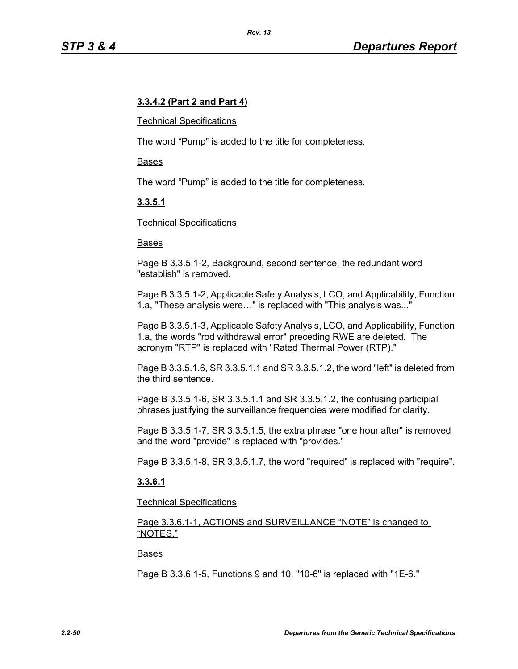## **3.3.4.2 (Part 2 and Part 4)**

#### Technical Specifications

The word "Pump" is added to the title for completeness.

#### Bases

The word "Pump" is added to the title for completeness.

## **3.3.5.1**

#### Technical Specifications

#### Bases

Page B 3.3.5.1-2, Background, second sentence, the redundant word "establish" is removed.

Page B 3.3.5.1-2, Applicable Safety Analysis, LCO, and Applicability, Function 1.a, "These analysis were…" is replaced with "This analysis was..."

Page B 3.3.5.1-3, Applicable Safety Analysis, LCO, and Applicability, Function 1.a, the words "rod withdrawal error" preceding RWE are deleted. The acronym "RTP" is replaced with "Rated Thermal Power (RTP)."

Page B 3.3.5.1.6, SR 3.3.5.1.1 and SR 3.3.5.1.2, the word "left" is deleted from the third sentence.

Page B 3.3.5.1-6, SR 3.3.5.1.1 and SR 3.3.5.1.2, the confusing participial phrases justifying the surveillance frequencies were modified for clarity.

Page B 3.3.5.1-7, SR 3.3.5.1.5, the extra phrase "one hour after" is removed and the word "provide" is replaced with "provides."

Page B 3.3.5.1-8, SR 3.3.5.1.7, the word "required" is replaced with "require".

## **3.3.6.1**

#### Technical Specifications

Page 3.3.6.1-1, ACTIONS and SURVEILLANCE "NOTE" is changed to "NOTES."

#### Bases

Page B 3.3.6.1-5, Functions 9 and 10, "10-6" is replaced with "1E-6."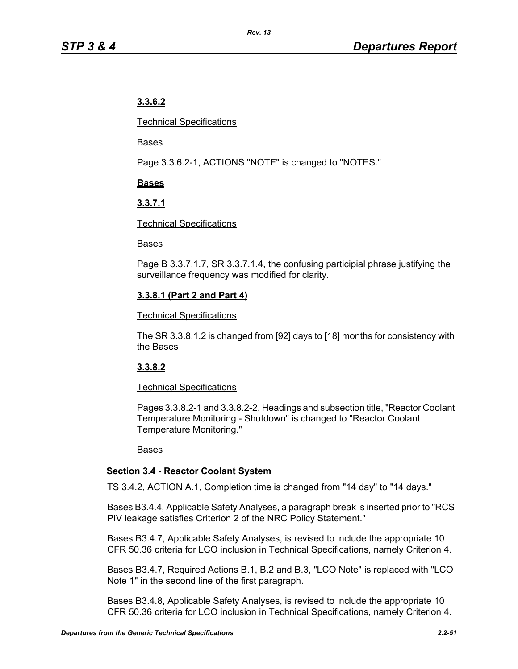# **3.3.6.2**

Technical Specifications

Bases

Page 3.3.6.2-1, ACTIONS "NOTE" is changed to "NOTES."

## **Bases**

## **3.3.7.1**

## Technical Specifications

## Bases

Page B 3.3.7.1.7, SR 3.3.7.1.4, the confusing participial phrase justifying the surveillance frequency was modified for clarity.

## **3.3.8.1 (Part 2 and Part 4)**

## Technical Specifications

The SR 3.3.8.1.2 is changed from [92] days to [18] months for consistency with the Bases

## **3.3.8.2**

## Technical Specifications

Pages 3.3.8.2-1 and 3.3.8.2-2, Headings and subsection title, "Reactor Coolant Temperature Monitoring - Shutdown" is changed to "Reactor Coolant Temperature Monitoring."

## Bases

## **Section 3.4 - Reactor Coolant System**

TS 3.4.2, ACTION A.1, Completion time is changed from "14 day" to "14 days."

Bases B3.4.4, Applicable Safety Analyses, a paragraph break is inserted prior to "RCS PIV leakage satisfies Criterion 2 of the NRC Policy Statement."

Bases B3.4.7, Applicable Safety Analyses, is revised to include the appropriate 10 CFR 50.36 criteria for LCO inclusion in Technical Specifications, namely Criterion 4.

Bases B3.4.7, Required Actions B.1, B.2 and B.3, "LCO Note" is replaced with "LCO Note 1" in the second line of the first paragraph.

Bases B3.4.8, Applicable Safety Analyses, is revised to include the appropriate 10 CFR 50.36 criteria for LCO inclusion in Technical Specifications, namely Criterion 4.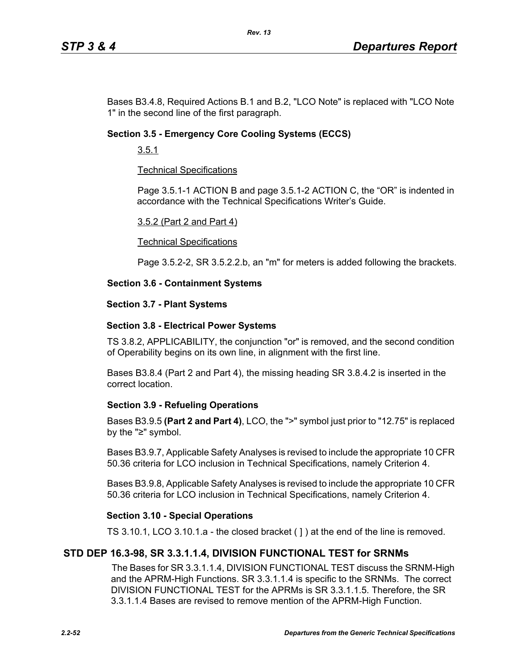Bases B3.4.8, Required Actions B.1 and B.2, "LCO Note" is replaced with "LCO Note 1" in the second line of the first paragraph.

## **Section 3.5 - Emergency Core Cooling Systems (ECCS)**

3.5.1

## Technical Specifications

Page 3.5.1-1 ACTION B and page 3.5.1-2 ACTION C, the "OR" is indented in accordance with the Technical Specifications Writer's Guide.

#### 3.5.2 (Part 2 and Part 4)

#### Technical Specifications

Page 3.5.2-2, SR 3.5.2.2.b, an "m" for meters is added following the brackets.

#### **Section 3.6 - Containment Systems**

#### **Section 3.7 - Plant Systems**

#### **Section 3.8 - Electrical Power Systems**

TS 3.8.2, APPLICABILITY, the conjunction "or" is removed, and the second condition of Operability begins on its own line, in alignment with the first line.

Bases B3.8.4 (Part 2 and Part 4), the missing heading SR 3.8.4.2 is inserted in the correct location.

## **Section 3.9 - Refueling Operations**

Bases B3.9.5 **(Part 2 and Part 4)**, LCO, the ">" symbol just prior to "12.75" is replaced by the "≥" symbol.

Bases B3.9.7, Applicable Safety Analyses is revised to include the appropriate 10 CFR 50.36 criteria for LCO inclusion in Technical Specifications, namely Criterion 4.

Bases B3.9.8, Applicable Safety Analyses is revised to include the appropriate 10 CFR 50.36 criteria for LCO inclusion in Technical Specifications, namely Criterion 4.

## **Section 3.10 - Special Operations**

TS 3.10.1, LCO 3.10.1.a - the closed bracket ( ] ) at the end of the line is removed.

## **STD DEP 16.3-98, SR 3.3.1.1.4, DIVISION FUNCTIONAL TEST for SRNMs**

The Bases for SR 3.3.1.1.4, DIVISION FUNCTIONAL TEST discuss the SRNM-High and the APRM-High Functions. SR 3.3.1.1.4 is specific to the SRNMs. The correct DIVISION FUNCTIONAL TEST for the APRMs is SR 3.3.1.1.5. Therefore, the SR 3.3.1.1.4 Bases are revised to remove mention of the APRM-High Function.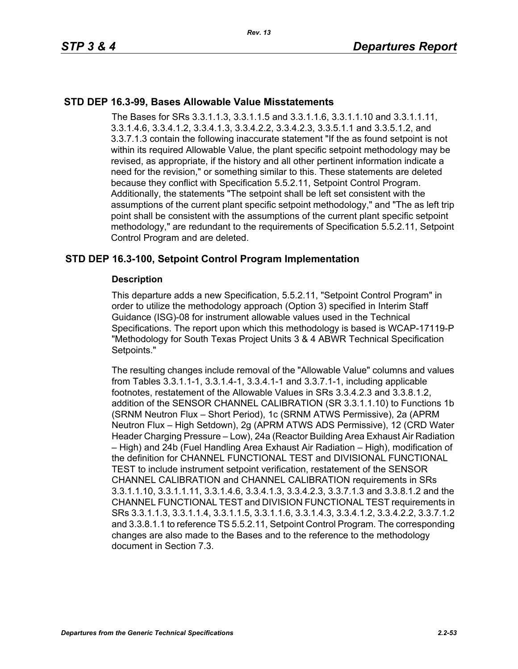## **STD DEP 16.3-99, Bases Allowable Value Misstatements**

The Bases for SRs 3.3.1.1.3, 3.3.1.1.5 and 3.3.1.1.6, 3.3.1.1.10 and 3.3.1.1.11, 3.3.1.4.6, 3.3.4.1.2, 3.3.4.1.3, 3.3.4.2.2, 3.3.4.2.3, 3.3.5.1.1 and 3.3.5.1.2, and 3.3.7.1.3 contain the following inaccurate statement "If the as found setpoint is not within its required Allowable Value, the plant specific setpoint methodology may be revised, as appropriate, if the history and all other pertinent information indicate a need for the revision," or something similar to this. These statements are deleted because they conflict with Specification 5.5.2.11, Setpoint Control Program. Additionally, the statements "The setpoint shall be left set consistent with the assumptions of the current plant specific setpoint methodology," and "The as left trip point shall be consistent with the assumptions of the current plant specific setpoint methodology," are redundant to the requirements of Specification 5.5.2.11, Setpoint Control Program and are deleted.

## **STD DEP 16.3-100, Setpoint Control Program Implementation**

## **Description**

This departure adds a new Specification, 5.5.2.11, "Setpoint Control Program" in order to utilize the methodology approach (Option 3) specified in Interim Staff Guidance (ISG)-08 for instrument allowable values used in the Technical Specifications. The report upon which this methodology is based is WCAP-17119-P "Methodology for South Texas Project Units 3 & 4 ABWR Technical Specification Setpoints."

The resulting changes include removal of the "Allowable Value" columns and values from Tables 3.3.1.1-1, 3.3.1.4-1, 3.3.4.1-1 and 3.3.7.1-1, including applicable footnotes, restatement of the Allowable Values in SRs 3.3.4.2.3 and 3.3.8.1.2, addition of the SENSOR CHANNEL CALIBRATION (SR 3.3.1.1.10) to Functions 1b (SRNM Neutron Flux – Short Period), 1c (SRNM ATWS Permissive), 2a (APRM Neutron Flux – High Setdown), 2g (APRM ATWS ADS Permissive), 12 (CRD Water Header Charging Pressure – Low), 24a (Reactor Building Area Exhaust Air Radiation – High) and 24b (Fuel Handling Area Exhaust Air Radiation – High), modification of the definition for CHANNEL FUNCTIONAL TEST and DIVISIONAL FUNCTIONAL TEST to include instrument setpoint verification, restatement of the SENSOR CHANNEL CALIBRATION and CHANNEL CALIBRATION requirements in SRs 3.3.1.1.10, 3.3.1.1.11, 3.3.1.4.6, 3.3.4.1.3, 3.3.4.2.3, 3.3.7.1.3 and 3.3.8.1.2 and the CHANNEL FUNCTIONAL TEST and DIVISION FUNCTIONAL TEST requirements in SRs 3.3.1.1.3, 3.3.1.1.4, 3.3.1.1.5, 3.3.1.1.6, 3.3.1.4.3, 3.3.4.1.2, 3.3.4.2.2, 3.3.7.1.2 and 3.3.8.1.1 to reference TS 5.5.2.11, Setpoint Control Program. The corresponding changes are also made to the Bases and to the reference to the methodology document in Section 7.3.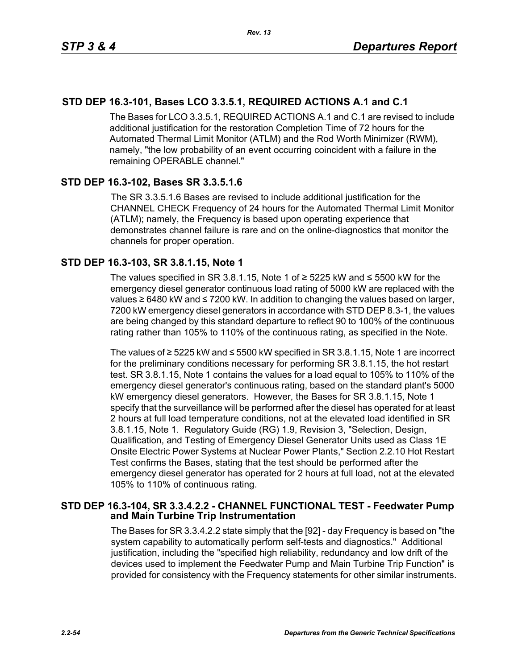## **STD DEP 16.3-101, Bases LCO 3.3.5.1, REQUIRED ACTIONS A.1 and C.1**

The Bases for LCO 3.3.5.1, REQUIRED ACTIONS A.1 and C.1 are revised to include additional justification for the restoration Completion Time of 72 hours for the Automated Thermal Limit Monitor (ATLM) and the Rod Worth Minimizer (RWM), namely, "the low probability of an event occurring coincident with a failure in the remaining OPERABLE channel."

## **STD DEP 16.3-102, Bases SR 3.3.5.1.6**

The SR 3.3.5.1.6 Bases are revised to include additional justification for the CHANNEL CHECK Frequency of 24 hours for the Automated Thermal Limit Monitor (ATLM); namely, the Frequency is based upon operating experience that demonstrates channel failure is rare and on the online-diagnostics that monitor the channels for proper operation.

## **STD DEP 16.3-103, SR 3.8.1.15, Note 1**

The values specified in SR 3.8.1.15, Note 1 of  $\geq$  5225 kW and  $\leq$  5500 kW for the emergency diesel generator continuous load rating of 5000 kW are replaced with the values ≥ 6480 kW and ≤ 7200 kW. In addition to changing the values based on larger, 7200 kW emergency diesel generators in accordance with STD DEP 8.3-1, the values are being changed by this standard departure to reflect 90 to 100% of the continuous rating rather than 105% to 110% of the continuous rating, as specified in the Note.

The values of ≥ 5225 kW and ≤ 5500 kW specified in SR 3.8.1.15, Note 1 are incorrect for the preliminary conditions necessary for performing SR 3.8.1.15, the hot restart test. SR 3.8.1.15, Note 1 contains the values for a load equal to 105% to 110% of the emergency diesel generator's continuous rating, based on the standard plant's 5000 kW emergency diesel generators. However, the Bases for SR 3.8.1.15, Note 1 specify that the surveillance will be performed after the diesel has operated for at least 2 hours at full load temperature conditions, not at the elevated load identified in SR 3.8.1.15, Note 1. Regulatory Guide (RG) 1.9, Revision 3, "Selection, Design, Qualification, and Testing of Emergency Diesel Generator Units used as Class 1E Onsite Electric Power Systems at Nuclear Power Plants," Section 2.2.10 Hot Restart Test confirms the Bases, stating that the test should be performed after the emergency diesel generator has operated for 2 hours at full load, not at the elevated 105% to 110% of continuous rating.

#### **STD DEP 16.3-104, SR 3.3.4.2.2 - CHANNEL FUNCTIONAL TEST - Feedwater Pump and Main Turbine Trip Instrumentation**

The Bases for SR 3.3.4.2.2 state simply that the [92] - day Frequency is based on "the system capability to automatically perform self-tests and diagnostics." Additional justification, including the "specified high reliability, redundancy and low drift of the devices used to implement the Feedwater Pump and Main Turbine Trip Function" is provided for consistency with the Frequency statements for other similar instruments.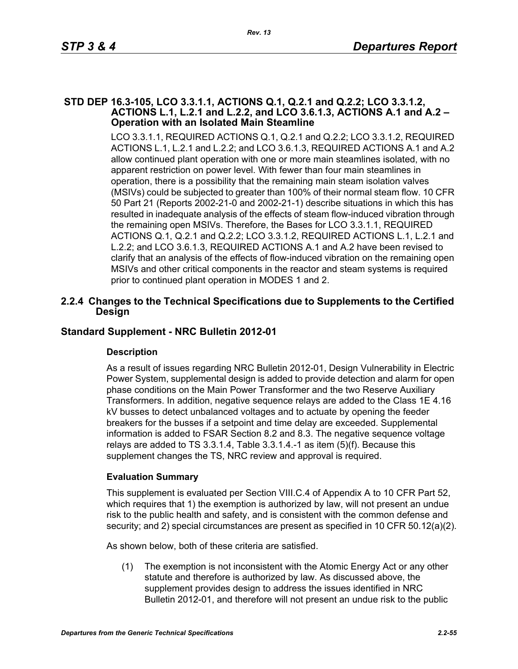#### **STD DEP 16.3-105, LCO 3.3.1.1, ACTIONS Q.1, Q.2.1 and Q.2.2; LCO 3.3.1.2, ACTIONS L.1, L.2.1 and L.2.2, and LCO 3.6.1.3, ACTIONS A.1 and A.2 – Operation with an Isolated Main Steamline**

LCO 3.3.1.1, REQUIRED ACTIONS Q.1, Q.2.1 and Q.2.2; LCO 3.3.1.2, REQUIRED ACTIONS L.1, L.2.1 and L.2.2; and LCO 3.6.1.3, REQUIRED ACTIONS A.1 and A.2 allow continued plant operation with one or more main steamlines isolated, with no apparent restriction on power level. With fewer than four main steamlines in operation, there is a possibility that the remaining main steam isolation valves (MSIVs) could be subjected to greater than 100% of their normal steam flow. 10 CFR 50 Part 21 (Reports 2002-21-0 and 2002-21-1) describe situations in which this has resulted in inadequate analysis of the effects of steam flow-induced vibration through the remaining open MSIVs. Therefore, the Bases for LCO 3.3.1.1, REQUIRED ACTIONS Q.1, Q.2.1 and Q.2.2; LCO 3.3.1.2, REQUIRED ACTIONS L.1, L.2.1 and L.2.2; and LCO 3.6.1.3, REQUIRED ACTIONS A.1 and A.2 have been revised to clarify that an analysis of the effects of flow-induced vibration on the remaining open MSIVs and other critical components in the reactor and steam systems is required prior to continued plant operation in MODES 1 and 2.

## **2.2.4 Changes to the Technical Specifications due to Supplements to the Certified Design**

## **Standard Supplement - NRC Bulletin 2012-01**

## **Description**

As a result of issues regarding NRC Bulletin 2012-01, Design Vulnerability in Electric Power System, supplemental design is added to provide detection and alarm for open phase conditions on the Main Power Transformer and the two Reserve Auxiliary Transformers. In addition, negative sequence relays are added to the Class 1E 4.16 kV busses to detect unbalanced voltages and to actuate by opening the feeder breakers for the busses if a setpoint and time delay are exceeded. Supplemental information is added to FSAR Section 8.2 and 8.3. The negative sequence voltage relays are added to TS 3.3.1.4, Table 3.3.1.4.-1 as item (5)(f). Because this supplement changes the TS, NRC review and approval is required.

## **Evaluation Summary**

This supplement is evaluated per Section VIII.C.4 of Appendix A to 10 CFR Part 52, which requires that 1) the exemption is authorized by law, will not present an undue risk to the public health and safety, and is consistent with the common defense and security; and 2) special circumstances are present as specified in 10 CFR 50.12(a)(2).

As shown below, both of these criteria are satisfied.

(1) The exemption is not inconsistent with the Atomic Energy Act or any other statute and therefore is authorized by law. As discussed above, the supplement provides design to address the issues identified in NRC Bulletin 2012-01, and therefore will not present an undue risk to the public